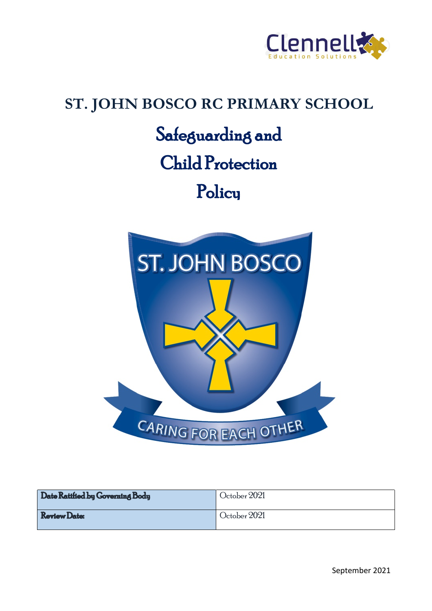

# **ST. JOHN BOSCO RC PRIMARY SCHOOL** Safeguarding and Child Protection Policy



| Date Ratified by Governing Body | October 2021 |
|---------------------------------|--------------|
| <b>Review Date:</b>             | October 2021 |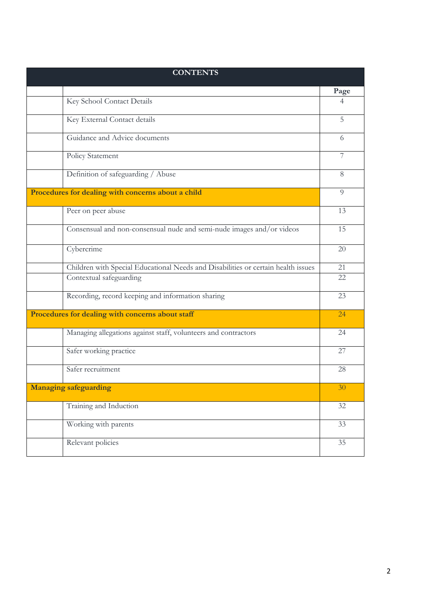| <b>CONTENTS</b>                                                                   |        |  |
|-----------------------------------------------------------------------------------|--------|--|
|                                                                                   | Page   |  |
| Key School Contact Details                                                        | 4      |  |
| Key External Contact details                                                      | 5      |  |
| Guidance and Advice documents                                                     | 6      |  |
| Policy Statement                                                                  | 7      |  |
| Definition of safeguarding / Abuse                                                | 8      |  |
| Procedures for dealing with concerns about a child                                | 9      |  |
| Peer on peer abuse                                                                | 13     |  |
| Consensual and non-consensual nude and semi-nude images and/or videos             | 15     |  |
| Cybercrime                                                                        | 20     |  |
| Children with Special Educational Needs and Disabilities or certain health issues | 21     |  |
| Contextual safeguarding                                                           | 22     |  |
| Recording, record keeping and information sharing                                 | 23     |  |
| Procedures for dealing with concerns about staff                                  | 24     |  |
| Managing allegations against staff, volunteers and contractors                    | 24     |  |
| Safer working practice                                                            | 27     |  |
| Safer recruitment                                                                 | 28     |  |
| Managing safeguarding                                                             | 30     |  |
| Training and Induction                                                            | $32\,$ |  |
| Working with parents                                                              | 33     |  |
| Relevant policies                                                                 | 35     |  |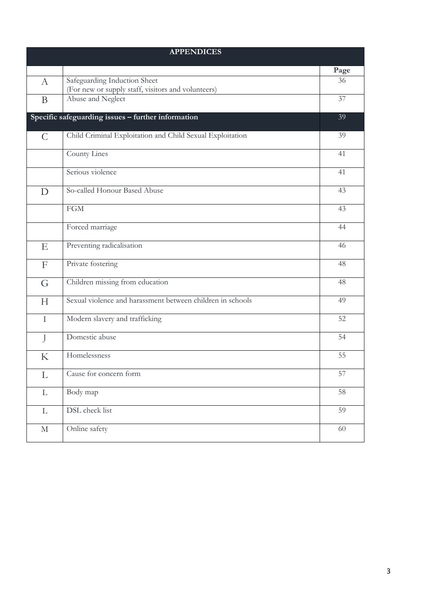| <b>APPENDICES</b> |                                                                                    |      |
|-------------------|------------------------------------------------------------------------------------|------|
|                   |                                                                                    | Page |
| $\boldsymbol{A}$  | Safeguarding Induction Sheet<br>(For new or supply staff, visitors and volunteers) | 36   |
| B                 | Abuse and Neglect                                                                  | 37   |
|                   | Specific safeguarding issues - further information                                 | 39   |
| $\mathcal{C}$     | Child Criminal Exploitation and Child Sexual Exploitation                          | 39   |
|                   | County Lines                                                                       | 41   |
|                   | Serious violence                                                                   | 41   |
| D                 | So-called Honour Based Abuse                                                       | 43   |
|                   | <b>FGM</b>                                                                         | 43   |
|                   | Forced marriage                                                                    | 44   |
| E                 | Preventing radicalisation                                                          | 46   |
| $\boldsymbol{F}$  | Private fostering                                                                  | 48   |
| G                 | Children missing from education                                                    | 48   |
| H                 | Sexual violence and harassment between children in schools                         | 49   |
| $\mathbf I$       | Modern slavery and trafficking                                                     | 52   |
| $\mathbf{J}$      | Domestic abuse                                                                     | 54   |
| K                 | Homelessness                                                                       | 55   |
| L                 | Cause for concern form                                                             | 57   |
| $\mathbf L$       | Body map                                                                           | 58   |
| $\mathbf L$       | DSL check list                                                                     | 59   |
| $\mathbf M$       | Online safety                                                                      | 60   |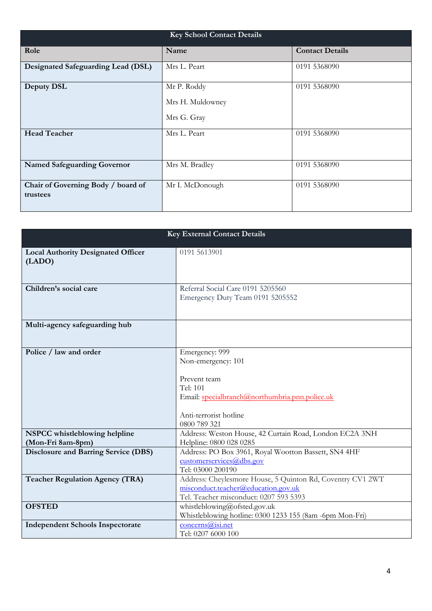| <b>Key School Contact Details</b>              |                                                |                        |
|------------------------------------------------|------------------------------------------------|------------------------|
| Role                                           | Name                                           | <b>Contact Details</b> |
| Designated Safeguarding Lead (DSL)             | Mrs L. Peart                                   | 0191 5368090           |
| Deputy DSL                                     | Mr P. Roddy<br>Mrs H. Muldowney<br>Mrs G. Gray | 0191 5368090           |
| <b>Head Teacher</b>                            | Mrs L. Peart                                   | 0191 5368090           |
| <b>Named Safeguarding Governor</b>             | Mrs M. Bradley                                 | 0191 5368090           |
| Chair of Governing Body / board of<br>trustees | Mr I. McDonough                                | 0191 5368090           |

| <b>Key External Contact Details</b>                 |                                                                                                                                                              |  |
|-----------------------------------------------------|--------------------------------------------------------------------------------------------------------------------------------------------------------------|--|
| <b>Local Authority Designated Officer</b><br>(LADO) | 0191 5613901                                                                                                                                                 |  |
| Children's social care                              | Referral Social Care 0191 5205560<br>Emergency Duty Team 0191 5205552                                                                                        |  |
| Multi-agency safeguarding hub                       |                                                                                                                                                              |  |
| Police / law and order                              | Emergency: 999<br>Non-emergency: 101<br>Prevent team<br>Tel: 101<br>Email: specialbranch@northumbria.pnn.police.uk<br>Anti-terrorist hotline<br>0800 789 321 |  |
| NSPCC whistleblowing helpline<br>(Mon-Fri 8am-8pm)  | Address: Weston House, 42 Curtain Road, London EC2A 3NH<br>Helpline: 0800 028 0285                                                                           |  |
| <b>Disclosure and Barring Service (DBS)</b>         | Address: PO Box 3961, Royal Wootton Bassett, SN4 4HF<br>customerservices@dbs.gov<br>Tel: 03000 200190                                                        |  |
| <b>Teacher Regulation Agency (TRA)</b>              | Address: Cheylesmore House, 5 Quinton Rd, Coventry CV1 2WT<br>misconduct.teacher@education.gov.uk<br>Tel. Teacher misconduct: 0207 593 5393                  |  |
| <b>OFSTED</b>                                       | whistleblowing@ofsted.gov.uk<br>Whistleblowing hotline: 0300 1233 155 (8am -6pm Mon-Fri)                                                                     |  |
| <b>Independent Schools Inspectorate</b>             | concerns@isi.net<br>Tel: 0207 6000 100                                                                                                                       |  |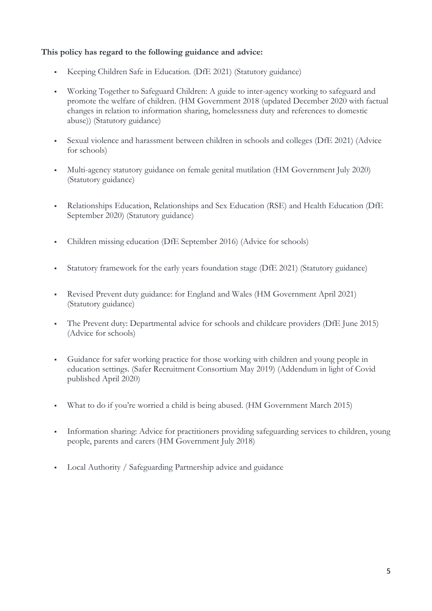## **This policy has regard to the following guidance and advice:**

- Keeping Children Safe in Education. (DfE 2021) (Statutory guidance)
- Working Together to Safeguard Children: A guide to inter-agency working to safeguard and promote the welfare of children. (HM Government 2018 (updated December 2020 with factual changes in relation to information sharing, homelessness duty and references to domestic abuse)) (Statutory guidance)
- Sexual violence and harassment between children in schools and colleges (DfE 2021) (Advice for schools)
- Multi-agency statutory guidance on female genital mutilation (HM Government July 2020) (Statutory guidance)
- Relationships Education, Relationships and Sex Education (RSE) and Health Education (DfE September 2020) (Statutory guidance)
- Children missing education (DfE September 2016) (Advice for schools)
- Statutory framework for the early years foundation stage (DfE 2021) (Statutory guidance)
- Revised Prevent duty guidance: for England and Wales (HM Government April 2021) (Statutory guidance)
- The Prevent duty: Departmental advice for schools and childcare providers (DfE June 2015) (Advice for schools)
- Guidance for safer working practice for those working with children and young people in education settings. (Safer Recruitment Consortium May 2019) (Addendum in light of Covid published April 2020)
- What to do if you're worried a child is being abused. (HM Government March 2015)
- Information sharing: Advice for practitioners providing safeguarding services to children, young people, parents and carers (HM Government July 2018)
- Local Authority / Safeguarding Partnership advice and guidance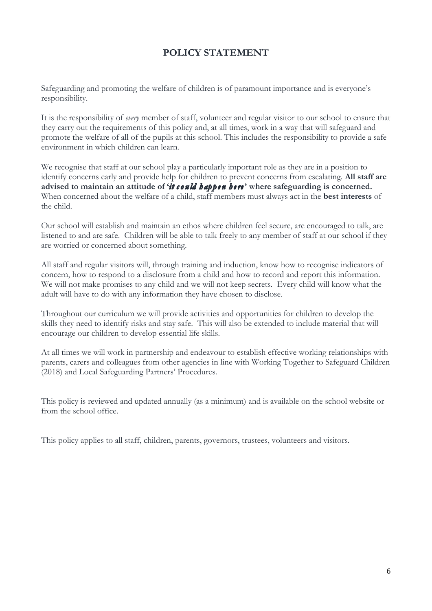## **POLICY STATEMENT**

Safeguarding and promoting the welfare of children is of paramount importance and is everyone's responsibility.

It is the responsibility of *every* member of staff, volunteer and regular visitor to our school to ensure that they carry out the requirements of this policy and, at all times, work in a way that will safeguard and promote the welfare of all of the pupils at this school. This includes the responsibility to provide a safe environment in which children can learn.

We recognise that staff at our school play a particularly important role as they are in a position to identify concerns early and provide help for children to prevent concerns from escalating. **All staff are** advised to maintain an attitude of '*it could happen here*' where safeguarding is concerned. When concerned about the welfare of a child, staff members must always act in the **best interests** of the child.

Our school will establish and maintain an ethos where children feel secure, are encouraged to talk, are listened to and are safe. Children will be able to talk freely to any member of staff at our school if they are worried or concerned about something.

All staff and regular visitors will, through training and induction, know how to recognise indicators of concern, how to respond to a disclosure from a child and how to record and report this information. We will not make promises to any child and we will not keep secrets. Every child will know what the adult will have to do with any information they have chosen to disclose.

Throughout our curriculum we will provide activities and opportunities for children to develop the skills they need to identify risks and stay safe. This will also be extended to include material that will encourage our children to develop essential life skills.

At all times we will work in partnership and endeavour to establish effective working relationships with parents, carers and colleagues from other agencies in line with Working Together to Safeguard Children (2018) and Local Safeguarding Partners' Procedures.

This policy is reviewed and updated annually (as a minimum) and is available on the school website or from the school office.

This policy applies to all staff, children, parents, governors, trustees, volunteers and visitors.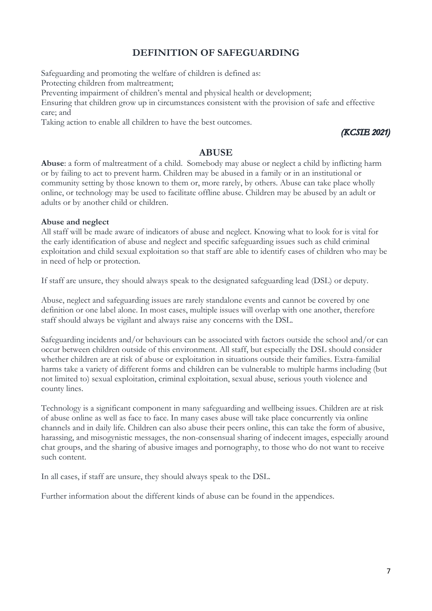## **DEFINITION OF SAFEGUARDING**

Safeguarding and promoting the welfare of children is defined as:

Protecting children from maltreatment;

Preventing impairment of children's mental and physical health or development;

Ensuring that children grow up in circumstances consistent with the provision of safe and effective care; and

Taking action to enable all children to have the best outcomes.

## *(KCSIE 2021)*

## **ABUSE**

**Abuse**: a form of maltreatment of a child. Somebody may abuse or neglect a child by inflicting harm or by failing to act to prevent harm. Children may be abused in a family or in an institutional or community setting by those known to them or, more rarely, by others. Abuse can take place wholly online, or technology may be used to facilitate offline abuse. Children may be abused by an adult or adults or by another child or children.

## **Abuse and neglect**

All staff will be made aware of indicators of abuse and neglect. Knowing what to look for is vital for the early identification of abuse and neglect and specific safeguarding issues such as child criminal exploitation and child sexual exploitation so that staff are able to identify cases of children who may be in need of help or protection.

If staff are unsure, they should always speak to the designated safeguarding lead (DSL) or deputy.

Abuse, neglect and safeguarding issues are rarely standalone events and cannot be covered by one definition or one label alone. In most cases, multiple issues will overlap with one another, therefore staff should always be vigilant and always raise any concerns with the DSL.

Safeguarding incidents and/or behaviours can be associated with factors outside the school and/or can occur between children outside of this environment. All staff, but especially the DSL should consider whether children are at risk of abuse or exploitation in situations outside their families. Extra-familial harms take a variety of different forms and children can be vulnerable to multiple harms including (but not limited to) sexual exploitation, criminal exploitation, sexual abuse, serious youth violence and county lines.

Technology is a significant component in many safeguarding and wellbeing issues. Children are at risk of abuse online as well as face to face. In many cases abuse will take place concurrently via online channels and in daily life. Children can also abuse their peers online, this can take the form of abusive, harassing, and misogynistic messages, the non-consensual sharing of indecent images, especially around chat groups, and the sharing of abusive images and pornography, to those who do not want to receive such content.

In all cases, if staff are unsure, they should always speak to the DSL.

Further information about the different kinds of abuse can be found in the appendices.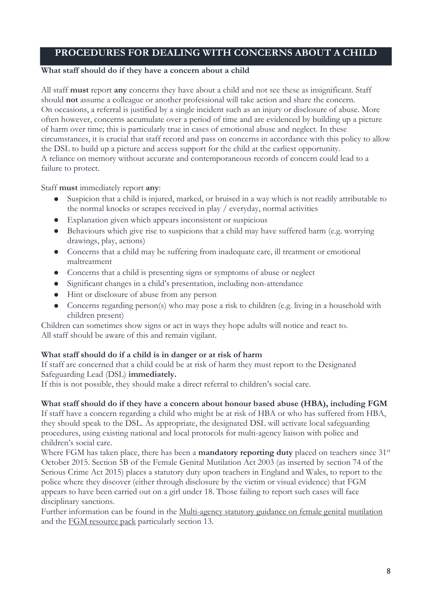## **PROCEDURES FOR DEALING WITH CONCERNS ABOUT A CHILD**

#### **What staff should do if they have a concern about a child**

All staff **must** report **any** concerns they have about a child and not see these as insignificant. Staff should **not** assume a colleague or another professional will take action and share the concern. On occasions, a referral is justified by a single incident such as an injury or disclosure of abuse. More often however, concerns accumulate over a period of time and are evidenced by building up a picture of harm over time; this is particularly true in cases of emotional abuse and neglect. In these circumstances, it is crucial that staff record and pass on concerns in accordance with this policy to allow the DSL to build up a picture and access support for the child at the earliest opportunity. A reliance on memory without accurate and contemporaneous records of concern could lead to a failure to protect.

Staff **must** immediately report **any**:

- Suspicion that a child is injured, marked, or bruised in a way which is not readily attributable to the normal knocks or scrapes received in play / everyday, normal activities
- Explanation given which appears inconsistent or suspicious
- Behaviours which give rise to suspicions that a child may have suffered harm (e.g. worrying drawings, play, actions)
- Concerns that a child may be suffering from inadequate care, ill treatment or emotional maltreatment
- Concerns that a child is presenting signs or symptoms of abuse or neglect
- Significant changes in a child's presentation, including non-attendance
- Hint or disclosure of abuse from any person
- Concerns regarding person(s) who may pose a risk to children (e.g. living in a household with children present)

Children can sometimes show signs or act in ways they hope adults will notice and react to. All staff should be aware of this and remain vigilant.

## **What staff should do if a child is in danger or at risk of harm**

If staff are concerned that a child could be at risk of harm they must report to the Designated Safeguarding Lead (DSL) **immediately.**

If this is not possible, they should make a direct referral to children's social care.

## **What staff should do if they have a concern about honour based abuse (HBA), including FGM**

If staff have a concern regarding a child who might be at risk of HBA or who has suffered from HBA, they should speak to the DSL. As appropriate, the designated DSL will activate local safeguarding procedures, using existing national and local protocols for multi-agency liaison with police and children's social care.

Where FGM has taken place, there has been a **mandatory reporting duty** placed on teachers since 31<sup>st</sup> October 2015. Section 5B of the Female Genital Mutilation Act 2003 (as inserted by section 74 of the Serious Crime Act 2015) places a statutory duty upon teachers in England and Wales, to report to the police where they discover (either through disclosure by the victim or visual evidence) that FGM appears to have been carried out on a girl under 18. Those failing to report such cases will face disciplinary sanctions.

Further information can be found in the Multi-agency statutory guidance on female genital mutilation and the FGM resource pack particularly section 13.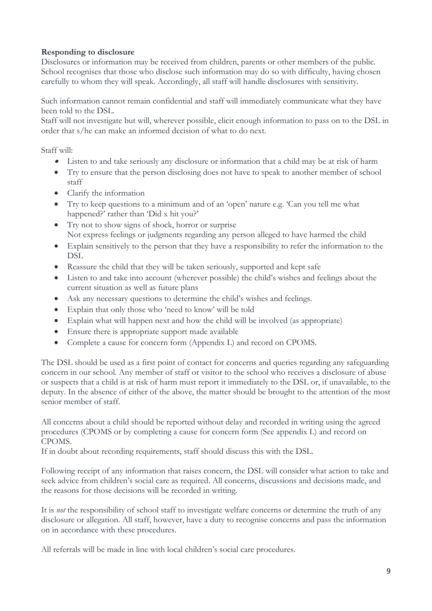## **Responding to disclosure**

Disclosures or information may be received from children, parents or other members of the public. School recognises that those who disclose such information may do so with difficulty, having chosen carefully to whom they will speak. Accordingly, all staff will handle disclosures with sensitivity.

Such information cannot remain confidential and staff will immediately communicate what they have been told to the DSL.

Staff will not investigate but will, wherever possible, elicit enough information to pass on to the DSL in order that s/he can make an informed decision of what to do next.

Staff will:

- Listen to and take seriously any disclosure or information that a child may be at risk of harm
- Try to ensure that the person disclosing does not have to speak to another member of school staff
- Clarify the information
- Try to keep questions to a minimum and of an 'open' nature e.g. 'Can you tell me what happened?' rather than 'Did x hit you?'
- Try not to show signs of shock, horror or surprise Not express feelings or judgments regarding any person alleged to have harmed the child
- Explain sensitively to the person that they have a responsibility to refer the information to the DSL
- Reassure the child that they will be taken seriously, supported and kept safe
- Listen to and take into account (wherever possible) the child's wishes and feelings about the current situation as well as future plans
- Ask any necessary questions to determine the child's wishes and feelings.
- Explain that only those who 'need to know' will be told
- Explain what will happen next and how the child will be involved (as appropriate)
- Ensure there is appropriate support made available
- Complete a cause for concern form (Appendix L) and record on CPOMS.

The DSL should be used as a first point of contact for concerns and queries regarding any safeguarding concern in our school. Any member of staff or visitor to the school who receives a disclosure of abuse or suspects that a child is at risk of harm must report it immediately to the DSL or, if unavailable, to the deputy. In the absence of either of the above, the matter should be brought to the attention of the most senior member of staff.

All concerns about a child should be reported without delay and recorded in writing using the agreed procedures (CPOMS or by completing a cause for concern form (See appendix L) and record on CPOMS.

If in doubt about recording requirements, staff should discuss this with the DSL.

Following receipt of any information that raises concern, the DSL will consider what action to take and seek advice from children's social care as required. All concerns, discussions and decisions made, and the reasons for those decisions will be recorded in writing.

It is *not* the responsibility of school staff to investigate welfare concerns or determine the truth of any disclosure or allegation. All staff, however, have a duty to recognise concerns and pass the information on in accordance with these procedures.

All referrals will be made in line with local children's social care procedures.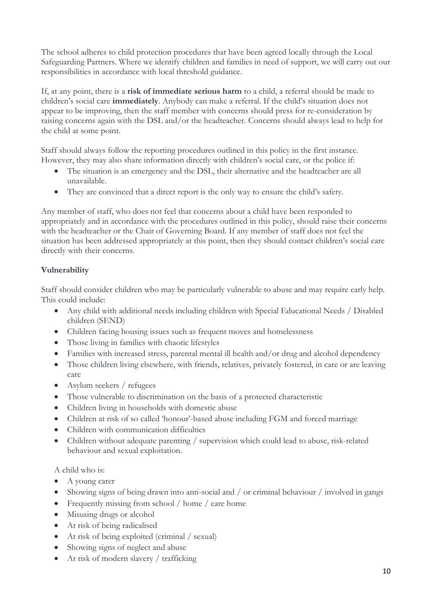The school adheres to child protection procedures that have been agreed locally through the Local Safeguarding Partners. Where we identify children and families in need of support, we will carry out our responsibilities in accordance with local threshold guidance.

If, at any point, there is a **risk of immediate serious harm** to a child, a referral should be made to children's social care **immediately**. Anybody can make a referral. If the child's situation does not appear to be improving, then the staff member with concerns should press for re-consideration by raising concerns again with the DSL and/or the headteacher. Concerns should always lead to help for the child at some point.

Staff should always follow the reporting procedures outlined in this policy in the first instance. However, they may also share information directly with children's social care, or the police if:

- The situation is an emergency and the DSL, their alternative and the headteacher are all unavailable.
- They are convinced that a direct report is the only way to ensure the child's safety.

Any member of staff, who does not feel that concerns about a child have been responded to appropriately and in accordance with the procedures outlined in this policy, should raise their concerns with the headteacher or the Chair of Governing Board. If any member of staff does not feel the situation has been addressed appropriately at this point, then they should contact children's social care directly with their concerns.

## **Vulnerability**

Staff should consider children who may be particularly vulnerable to abuse and may require early help. This could include:

- Any child with additional needs including children with Special Educational Needs / Disabled children (SEND)
- Children facing housing issues such as frequent moves and homelessness
- Those living in families with chaotic lifestyles
- Families with increased stress, parental mental ill health and/or drug and alcohol dependency
- Those children living elsewhere, with friends, relatives, privately fostered, in care or are leaving care
- Asylum seekers / refugees
- Those vulnerable to discrimination on the basis of a protected characteristic
- Children living in households with domestic abuse
- Children at risk of so called 'honour'-based abuse including FGM and forced marriage
- Children with communication difficulties
- Children without adequate parenting / supervision which could lead to abuse, risk-related behaviour and sexual exploitation.

A child who is:

- A young carer
- Showing signs of being drawn into anti-social and / or criminal behaviour / involved in gangs
- Frequently missing from school / home / care home
- Misusing drugs or alcohol
- At risk of being radicalised
- At risk of being exploited (criminal / sexual)
- Showing signs of neglect and abuse
- At risk of modern slavery / trafficking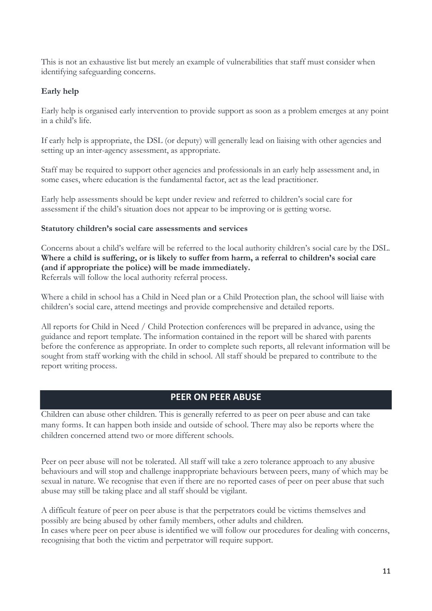This is not an exhaustive list but merely an example of vulnerabilities that staff must consider when identifying safeguarding concerns.

#### **Early help**

Early help is organised early intervention to provide support as soon as a problem emerges at any point in a child's life.

If early help is appropriate, the DSL (or deputy) will generally lead on liaising with other agencies and setting up an inter-agency assessment, as appropriate.

Staff may be required to support other agencies and professionals in an early help assessment and, in some cases, where education is the fundamental factor, act as the lead practitioner.

Early help assessments should be kept under review and referred to children's social care for assessment if the child's situation does not appear to be improving or is getting worse.

#### **Statutory children's social care assessments and services**

Concerns about a child's welfare will be referred to the local authority children's social care by the DSL. **Where a child is suffering, or is likely to suffer from harm, a referral to children's social care (and if appropriate the police) will be made immediately.** Referrals will follow the local authority referral process.

Where a child in school has a Child in Need plan or a Child Protection plan, the school will liaise with children's social care, attend meetings and provide comprehensive and detailed reports.

All reports for Child in Need / Child Protection conferences will be prepared in advance, using the guidance and report template. The information contained in the report will be shared with parents before the conference as appropriate. In order to complete such reports, all relevant information will be sought from staff working with the child in school. All staff should be prepared to contribute to the report writing process.

## **PEER ON PEER ABUSE**

Children can abuse other children. This is generally referred to as peer on peer abuse and can take many forms. It can happen both inside and outside of school. There may also be reports where the children concerned attend two or more different schools.

Peer on peer abuse will not be tolerated. All staff will take a zero tolerance approach to any abusive behaviours and will stop and challenge inappropriate behaviours between peers, many of which may be sexual in nature. We recognise that even if there are no reported cases of peer on peer abuse that such abuse may still be taking place and all staff should be vigilant.

A difficult feature of peer on peer abuse is that the perpetrators could be victims themselves and possibly are being abused by other family members, other adults and children. In cases where peer on peer abuse is identified we will follow our procedures for dealing with concerns, recognising that both the victim and perpetrator will require support.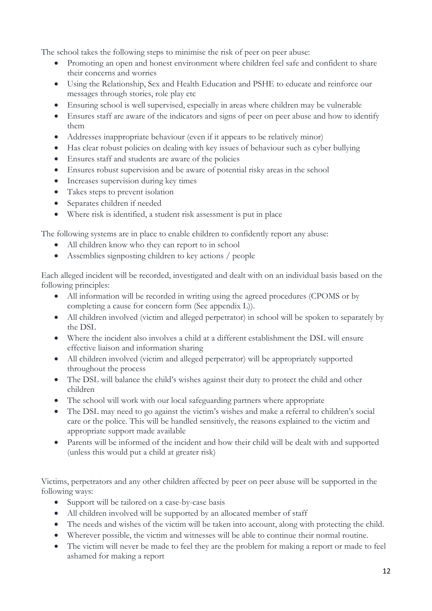The school takes the following steps to minimise the risk of peer on peer abuse:

- Promoting an open and honest environment where children feel safe and confident to share their concerns and worries
- Using the Relationship, Sex and Health Education and PSHE to educate and reinforce our messages through stories, role play etc
- Ensuring school is well supervised, especially in areas where children may be vulnerable
- Ensures staff are aware of the indicators and signs of peer on peer abuse and how to identify them
- Addresses inappropriate behaviour (even if it appears to be relatively minor)
- Has clear robust policies on dealing with key issues of behaviour such as cyber bullying
- Ensures staff and students are aware of the policies
- Ensures robust supervision and be aware of potential risky areas in the school
- Increases supervision during key times
- Takes steps to prevent isolation
- Separates children if needed
- Where risk is identified, a student risk assessment is put in place

The following systems are in place to enable children to confidently report any abuse:

- All children know who they can report to in school
- Assemblies signposting children to key actions / people

Each alleged incident will be recorded, investigated and dealt with on an individual basis based on the following principles:

- All information will be recorded in writing using the agreed procedures (CPOMS or by completing a cause for concern form (See appendix L)).
- All children involved (victim and alleged perpetrator) in school will be spoken to separately by the DSL
- Where the incident also involves a child at a different establishment the DSL will ensure effective liaison and information sharing
- All children involved (victim and alleged perpetrator) will be appropriately supported throughout the process
- The DSL will balance the child's wishes against their duty to protect the child and other children
- The school will work with our local safeguarding partners where appropriate
- The DSL may need to go against the victim's wishes and make a referral to children's social care or the police. This will be handled sensitively, the reasons explained to the victim and appropriate support made available
- Parents will be informed of the incident and how their child will be dealt with and supported (unless this would put a child at greater risk)

Victims, perpetrators and any other children affected by peer on peer abuse will be supported in the following ways:

- Support will be tailored on a case-by-case basis
- All children involved will be supported by an allocated member of staff
- The needs and wishes of the victim will be taken into account, along with protecting the child.
- Wherever possible, the victim and witnesses will be able to continue their normal routine.
- The victim will never be made to feel they are the problem for making a report or made to feel ashamed for making a report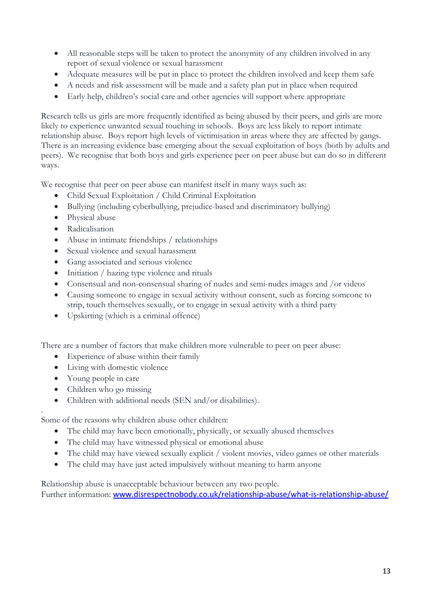- All reasonable steps will be taken to protect the anonymity of any children involved in any report of sexual violence or sexual harassment
- Adequate measures will be put in place to protect the children involved and keep them safe
- A needs and risk assessment will be made and a safety plan put in place when required
- Early help, children's social care and other agencies will support where appropriate

Research tells us girls are more frequently identified as being abused by their peers, and girls are more likely to experience unwanted sexual touching in schools. Boys are less likely to report intimate relationship abuse. Boys report high levels of victimisation in areas where they are affected by gangs. There is an increasing evidence base emerging about the sexual exploitation of boys (both by adults and peers). We recognise that both boys and girls experience peer on peer abuse but can do so in different ways.

We recognise that peer on peer abuse can manifest itself in many ways such as:

- Child Sexual Exploitation / Child Criminal Exploitation
- Bullying (including cyberbullying, prejudice-based and discriminatory bullying)
- Physical abuse
- Radicalisation
- Abuse in intimate friendships / relationships
- Sexual violence and sexual harassment
- Gang associated and serious violence
- Initiation / hazing type violence and rituals
- Consensual and non-consensual sharing of nudes and semi-nudes images and /or videos
- Causing someone to engage in sexual activity without consent, such as forcing someone to strip, touch themselves sexually, or to engage in sexual activity with a third party
- Upskirting (which is a criminal offence)

There are a number of factors that make children more vulnerable to peer on peer abuse:

- Experience of abuse within their family
- Living with domestic violence
- Young people in care
- Children who go missing
- Children with additional needs (SEN and/or disabilities).

. Some of the reasons why children abuse other children:

- The child may have been emotionally, physically, or sexually abused themselves
- The child may have witnessed physical or emotional abuse
- The child may have viewed sexually explicit / violent movies, video games or other materials
- The child may have just acted impulsively without meaning to harm anyone

Relationship abuse is unacceptable behaviour between any two people. Further information: [www.disrespectnobody.co.uk/relationship-abuse/what-is-relationship-abuse/](http://www.disrespectnobody.co.uk/relationship-abuse/what-is-relationship-abuse/)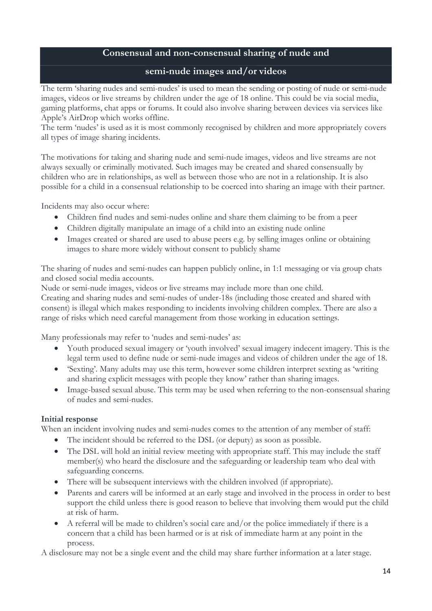## **Consensual and non-consensual sharing of nude and**

## **semi-nude images and/or videos**

The term 'sharing nudes and semi-nudes' is used to mean the sending or posting of nude or semi-nude images, videos or live streams by children under the age of 18 online. This could be via social media, gaming platforms, chat apps or forums. It could also involve sharing between devices via services like Apple's AirDrop which works offline.

The term 'nudes' is used as it is most commonly recognised by children and more appropriately covers all types of image sharing incidents.

The motivations for taking and sharing nude and semi-nude images, videos and live streams are not always sexually or criminally motivated. Such images may be created and shared consensually by children who are in relationships, as well as between those who are not in a relationship. It is also possible for a child in a consensual relationship to be coerced into sharing an image with their partner.

Incidents may also occur where:

- Children find nudes and semi-nudes online and share them claiming to be from a peer
- Children digitally manipulate an image of a child into an existing nude online
- Images created or shared are used to abuse peers e.g. by selling images online or obtaining images to share more widely without consent to publicly shame

The sharing of nudes and semi-nudes can happen publicly online, in 1:1 messaging or via group chats and closed social media accounts.

Nude or semi-nude images, videos or live streams may include more than one child.

Creating and sharing nudes and semi-nudes of under-18s (including those created and shared with consent) is illegal which makes responding to incidents involving children complex. There are also a range of risks which need careful management from those working in education settings.

Many professionals may refer to 'nudes and semi-nudes' as:

- Youth produced sexual imagery or 'youth involved' sexual imagery indecent imagery. This is the legal term used to define nude or semi-nude images and videos of children under the age of 18.
- 'Sexting'. Many adults may use this term, however some children interpret sexting as 'writing and sharing explicit messages with people they know' rather than sharing images.
- Image-based sexual abuse. This term may be used when referring to the non-consensual sharing of nudes and semi-nudes.

## **Initial response**

When an incident involving nudes and semi-nudes comes to the attention of any member of staff:

- The incident should be referred to the DSL (or deputy) as soon as possible.
- The DSL will hold an initial review meeting with appropriate staff. This may include the staff member(s) who heard the disclosure and the safeguarding or leadership team who deal with safeguarding concerns.
- There will be subsequent interviews with the children involved (if appropriate).
- Parents and carers will be informed at an early stage and involved in the process in order to best support the child unless there is good reason to believe that involving them would put the child at risk of harm.
- A referral will be made to children's social care and/or the police immediately if there is a concern that a child has been harmed or is at risk of immediate harm at any point in the process.

A disclosure may not be a single event and the child may share further information at a later stage.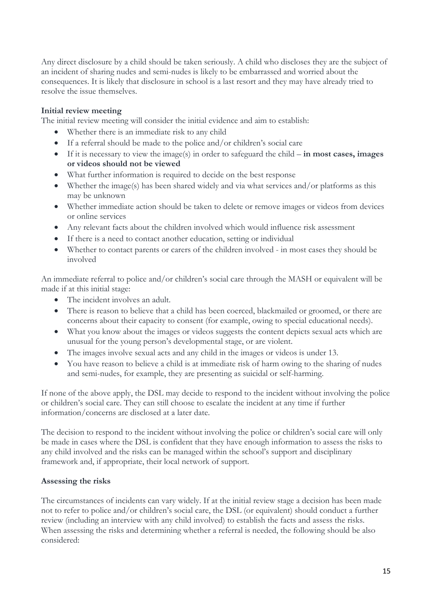Any direct disclosure by a child should be taken seriously. A child who discloses they are the subject of an incident of sharing nudes and semi-nudes is likely to be embarrassed and worried about the consequences. It is likely that disclosure in school is a last resort and they may have already tried to resolve the issue themselves.

#### **Initial review meeting**

The initial review meeting will consider the initial evidence and aim to establish:

- Whether there is an immediate risk to any child
- If a referral should be made to the police and/or children's social care
- If it is necessary to view the image(s) in order to safeguard the child **in most cases, images or videos should not be viewed**
- What further information is required to decide on the best response
- Whether the image(s) has been shared widely and via what services and/or platforms as this may be unknown
- Whether immediate action should be taken to delete or remove images or videos from devices or online services
- Any relevant facts about the children involved which would influence risk assessment
- If there is a need to contact another education, setting or individual
- Whether to contact parents or carers of the children involved in most cases they should be involved

An immediate referral to police and/or children's social care through the MASH or equivalent will be made if at this initial stage:

- The incident involves an adult.
- There is reason to believe that a child has been coerced, blackmailed or groomed, or there are concerns about their capacity to consent (for example, owing to special educational needs).
- What you know about the images or videos suggests the content depicts sexual acts which are unusual for the young person's developmental stage, or are violent.
- The images involve sexual acts and any child in the images or videos is under 13.
- You have reason to believe a child is at immediate risk of harm owing to the sharing of nudes and semi-nudes, for example, they are presenting as suicidal or self-harming.

If none of the above apply, the DSL may decide to respond to the incident without involving the police or children's social care. They can still choose to escalate the incident at any time if further information/concerns are disclosed at a later date.

The decision to respond to the incident without involving the police or children's social care will only be made in cases where the DSL is confident that they have enough information to assess the risks to any child involved and the risks can be managed within the school's support and disciplinary framework and, if appropriate, their local network of support.

## **Assessing the risks**

The circumstances of incidents can vary widely. If at the initial review stage a decision has been made not to refer to police and/or children's social care, the DSL (or equivalent) should conduct a further review (including an interview with any child involved) to establish the facts and assess the risks. When assessing the risks and determining whether a referral is needed, the following should be also considered: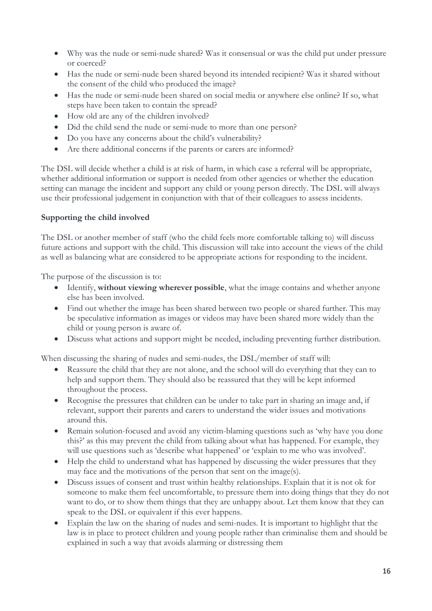- Why was the nude or semi-nude shared? Was it consensual or was the child put under pressure or coerced?
- Has the nude or semi-nude been shared beyond its intended recipient? Was it shared without the consent of the child who produced the image?
- Has the nude or semi-nude been shared on social media or anywhere else online? If so, what steps have been taken to contain the spread?
- How old are any of the children involved?
- Did the child send the nude or semi-nude to more than one person?
- Do you have any concerns about the child's vulnerability?
- Are there additional concerns if the parents or carers are informed?

The DSL will decide whether a child is at risk of harm, in which case a referral will be appropriate, whether additional information or support is needed from other agencies or whether the education setting can manage the incident and support any child or young person directly. The DSL will always use their professional judgement in conjunction with that of their colleagues to assess incidents.

## **Supporting the child involved**

The DSL or another member of staff (who the child feels more comfortable talking to) will discuss future actions and support with the child. This discussion will take into account the views of the child as well as balancing what are considered to be appropriate actions for responding to the incident.

The purpose of the discussion is to:

- Identify, **without viewing wherever possible**, what the image contains and whether anyone else has been involved.
- Find out whether the image has been shared between two people or shared further. This may be speculative information as images or videos may have been shared more widely than the child or young person is aware of.
- Discuss what actions and support might be needed, including preventing further distribution.

When discussing the sharing of nudes and semi-nudes, the DSL/member of staff will:

- Reassure the child that they are not alone, and the school will do everything that they can to help and support them. They should also be reassured that they will be kept informed throughout the process.
- Recognise the pressures that children can be under to take part in sharing an image and, if relevant, support their parents and carers to understand the wider issues and motivations around this.
- Remain solution-focused and avoid any victim-blaming questions such as 'why have you done this?' as this may prevent the child from talking about what has happened. For example, they will use questions such as 'describe what happened' or 'explain to me who was involved'.
- Help the child to understand what has happened by discussing the wider pressures that they may face and the motivations of the person that sent on the image(s).
- Discuss issues of consent and trust within healthy relationships. Explain that it is not ok for someone to make them feel uncomfortable, to pressure them into doing things that they do not want to do, or to show them things that they are unhappy about. Let them know that they can speak to the DSL or equivalent if this ever happens.
- Explain the law on the sharing of nudes and semi-nudes. It is important to highlight that the law is in place to protect children and young people rather than criminalise them and should be explained in such a way that avoids alarming or distressing them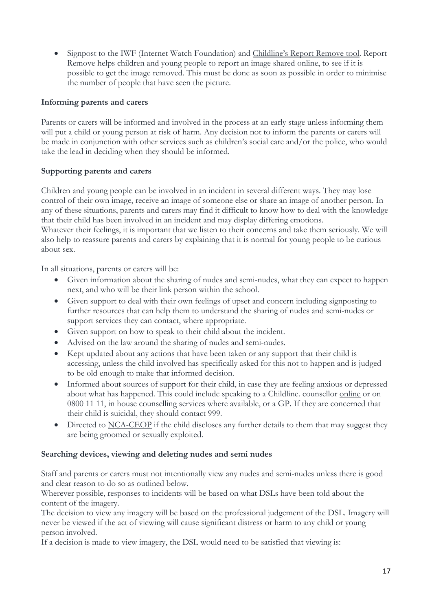Signpost to the IWF (Internet Watch Foundation) and [Childline's Report Remove tool.](https://www.childline.org.uk/info-advice/bullying-abuse-safety/online-mobile-safety/sexting/report-nude-image-online/) Report Remove helps children and young people to report an image shared online, to see if it is possible to get the image removed. This must be done as soon as possible in order to minimise the number of people that have seen the picture.

## **Informing parents and carers**

Parents or carers will be informed and involved in the process at an early stage unless informing them will put a child or young person at risk of harm. Any decision not to inform the parents or carers will be made in conjunction with other services such as children's social care and/or the police, who would take the lead in deciding when they should be informed.

## **Supporting parents and carers**

Children and young people can be involved in an incident in several different ways. They may lose control of their own image, receive an image of someone else or share an image of another person. In any of these situations, parents and carers may find it difficult to know how to deal with the knowledge that their child has been involved in an incident and may display differing emotions.

Whatever their feelings, it is important that we listen to their concerns and take them seriously. We will also help to reassure parents and carers by explaining that it is normal for young people to be curious about sex.

In all situations, parents or carers will be:

- Given information about the sharing of nudes and semi-nudes, what they can expect to happen next, and who will be their link person within the school.
- Given support to deal with their own feelings of upset and concern including signposting to further resources that can help them to understand the sharing of nudes and semi-nudes or support services they can contact, where appropriate.
- Given support on how to speak to their child about the incident.
- Advised on the law around the sharing of nudes and semi-nudes.
- Kept updated about any actions that have been taken or any support that their child is accessing, unless the child involved has specifically asked for this not to happen and is judged to be old enough to make that informed decision.
- Informed about sources of support for their child, in case they are feeling anxious or depressed about what has happened. This could include speaking to a Childline. counsellor [online](https://www.childline.org.uk/) or on 0800 11 11, in house counselling services where available, or a GP. If they are concerned that their child is suicidal, they should contact 999.
- Directed to [NCA-CEOP](https://www.ceop.police.uk/safety-centre) if the child discloses any further details to them that may suggest they are being groomed or sexually exploited.

## **Searching devices, viewing and deleting nudes and semi nudes**

Staff and parents or carers must not intentionally view any nudes and semi-nudes unless there is good and clear reason to do so as outlined below.

Wherever possible, responses to incidents will be based on what DSLs have been told about the content of the imagery.

The decision to view any imagery will be based on the professional judgement of the DSL. Imagery will never be viewed if the act of viewing will cause significant distress or harm to any child or young person involved.

If a decision is made to view imagery, the DSL would need to be satisfied that viewing is: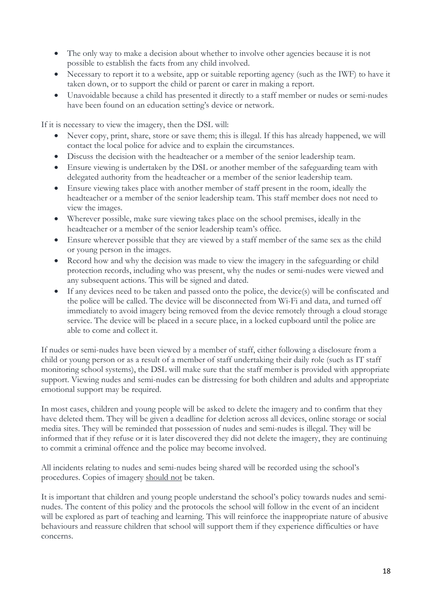- The only way to make a decision about whether to involve other agencies because it is not possible to establish the facts from any child involved.
- Necessary to report it to a website, app or suitable reporting agency (such as the IWF) to have it taken down, or to support the child or parent or carer in making a report.
- Unavoidable because a child has presented it directly to a staff member or nudes or semi-nudes have been found on an education setting's device or network.

If it is necessary to view the imagery, then the DSL will:

- Never copy, print, share, store or save them; this is illegal. If this has already happened, we will contact the local police for advice and to explain the circumstances.
- Discuss the decision with the headteacher or a member of the senior leadership team.
- Ensure viewing is undertaken by the DSL or another member of the safeguarding team with delegated authority from the headteacher or a member of the senior leadership team.
- Ensure viewing takes place with another member of staff present in the room, ideally the headteacher or a member of the senior leadership team. This staff member does not need to view the images.
- Wherever possible, make sure viewing takes place on the school premises, ideally in the headteacher or a member of the senior leadership team's office.
- Ensure wherever possible that they are viewed by a staff member of the same sex as the child or young person in the images.
- Record how and why the decision was made to view the imagery in the safeguarding or child protection records, including who was present, why the nudes or semi-nudes were viewed and any subsequent actions. This will be signed and dated.
- If any devices need to be taken and passed onto the police, the device(s) will be confiscated and the police will be called. The device will be disconnected from Wi-Fi and data, and turned off immediately to avoid imagery being removed from the device remotely through a cloud storage service. The device will be placed in a secure place, in a locked cupboard until the police are able to come and collect it.

If nudes or semi-nudes have been viewed by a member of staff, either following a disclosure from a child or young person or as a result of a member of staff undertaking their daily role (such as IT staff monitoring school systems), the DSL will make sure that the staff member is provided with appropriate support. Viewing nudes and semi-nudes can be distressing for both children and adults and appropriate emotional support may be required.

In most cases, children and young people will be asked to delete the imagery and to confirm that they have deleted them. They will be given a deadline for deletion across all devices, online storage or social media sites. They will be reminded that possession of nudes and semi-nudes is illegal. They will be informed that if they refuse or it is later discovered they did not delete the imagery, they are continuing to commit a criminal offence and the police may become involved.

All incidents relating to nudes and semi-nudes being shared will be recorded using the school's procedures. Copies of imagery should not be taken.

It is important that children and young people understand the school's policy towards nudes and seminudes. The content of this policy and the protocols the school will follow in the event of an incident will be explored as part of teaching and learning. This will reinforce the inappropriate nature of abusive behaviours and reassure children that school will support them if they experience difficulties or have concerns.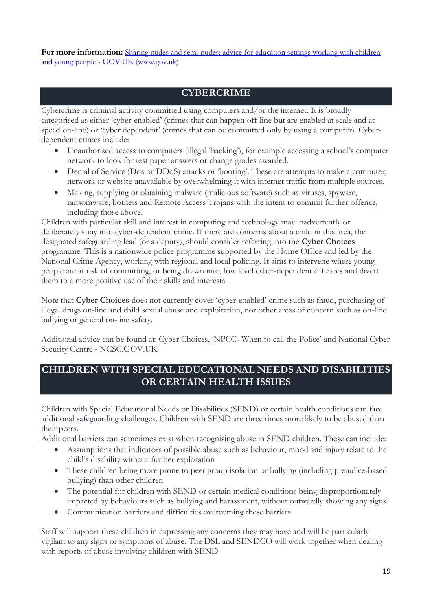For more information: [Sharing nudes and semi-nudes: advice for education settings working with children](https://www.gov.uk/government/publications/sharing-nudes-and-semi-nudes-advice-for-education-settings-working-with-children-and-young-people/sharing-nudes-and-semi-nudes-advice-for-education-settings-working-with-children-and-young-people) [and young people - GOV.UK \(www.gov.uk\)](https://www.gov.uk/government/publications/sharing-nudes-and-semi-nudes-advice-for-education-settings-working-with-children-and-young-people/sharing-nudes-and-semi-nudes-advice-for-education-settings-working-with-children-and-young-people)

## **CYBERCRIME**

Cybercrime is criminal activity committed using computers and/or the internet. It is broadly categorised as either 'cyber-enabled' (crimes that can happen off-line but are enabled at scale and at speed on-line) or 'cyber dependent' (crimes that can be committed only by using a computer). Cyberdependent crimes include:

- Unauthorised access to computers (illegal 'hacking'), for example accessing a school's computer network to look for test paper answers or change grades awarded.
- Denial of Service (Dos or DDoS) attacks or 'booting'. These are attempts to make a computer, network or website unavailable by overwhelming it with internet traffic from multiple sources.
- Making, supplying or obtaining malware (malicious software) such as viruses, spyware, ransomware, botnets and Remote Access Trojans with the intent to commit further offence, including those above.

Children with particular skill and interest in computing and technology may inadvertently or deliberately stray into cyber-dependent crime. If there are concerns about a child in this area, the designated safeguarding lead (or a deputy), should consider referring into the **Cyber Choices** programme. This is a nationwide police programme supported by the Home Office and led by the National Crime Agency, working with regional and local policing. It aims to intervene where young people are at risk of committing, or being drawn into, low level cyber-dependent offences and divert them to a more positive use of their skills and interests.

Note that **Cyber Choices** does not currently cover 'cyber-enabled' crime such as fraud, purchasing of illegal drugs on-line and child sexual abuse and exploitation, nor other areas of concern such as on-line bullying or general on-line safety.

Additional advice can be found at: Cyber Choices, 'NPCC- When to call the Police' and National Cyber Security Centre - NCSC.GOV.UK

## **CHILDREN WITH SPECIAL EDUCATIONAL NEEDS AND DISABILITIES OR CERTAIN HEALTH ISSUES**

Children with Special Educational Needs or Disabilities (SEND) or certain health conditions can face additional safeguarding challenges. Children with SEND are three times more likely to be abused than their peers.

Additional barriers can sometimes exist when recognising abuse in SEND children. These can include:

- Assumptions that indicators of possible abuse such as behaviour, mood and injury relate to the child's disability without further exploration
- These children being more prone to peer group isolation or bullying (including prejudice-based bullying) than other children
- The potential for children with SEND or certain medical conditions being disproportionately impacted by behaviours such as bullying and harassment, without outwardly showing any signs
- Communication barriers and difficulties overcoming these barriers

Staff will support these children in expressing any concerns they may have and will be particularly vigilant to any signs or symptoms of abuse. The DSL and SENDCO will work together when dealing with reports of abuse involving children with SEND.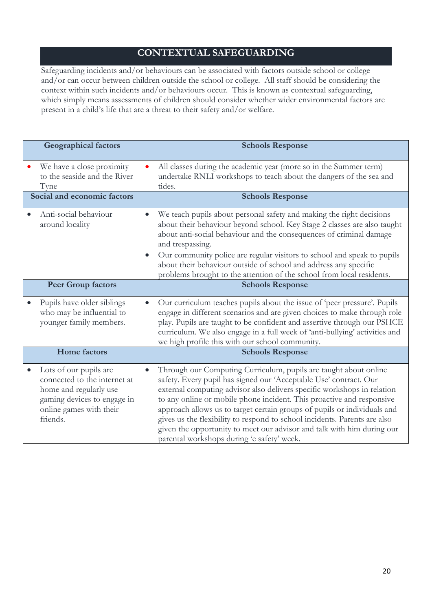## **CONTEXTUAL SAFEGUARDING**

Safeguarding incidents and/or behaviours can be associated with factors outside school or college and/or can occur between children outside the school or college. All staff should be considering the context within such incidents and/or behaviours occur. This is known as contextual safeguarding, which simply means assessments of children should consider whether wider environmental factors are present in a child's life that are a threat to their safety and/or welfare.

| <b>Geographical factors</b>                                                                                                                                         | <b>Schools Response</b>                                                                                                                                                                                                                                                                                                                                                                                                                                                                                                                                                                 |  |
|---------------------------------------------------------------------------------------------------------------------------------------------------------------------|-----------------------------------------------------------------------------------------------------------------------------------------------------------------------------------------------------------------------------------------------------------------------------------------------------------------------------------------------------------------------------------------------------------------------------------------------------------------------------------------------------------------------------------------------------------------------------------------|--|
| We have a close proximity<br>to the seaside and the River<br>Tyne                                                                                                   | All classes during the academic year (more so in the Summer term)<br>$\bullet$<br>undertake RNLI workshops to teach about the dangers of the sea and<br>tides.                                                                                                                                                                                                                                                                                                                                                                                                                          |  |
| Social and economic factors                                                                                                                                         | <b>Schools Response</b>                                                                                                                                                                                                                                                                                                                                                                                                                                                                                                                                                                 |  |
| Anti-social behaviour<br>around locality                                                                                                                            | We teach pupils about personal safety and making the right decisions<br>$\bullet$<br>about their behaviour beyond school. Key Stage 2 classes are also taught<br>about anti-social behaviour and the consequences of criminal damage<br>and trespassing.<br>Our community police are regular visitors to school and speak to pupils<br>$\bullet$<br>about their behaviour outside of school and address any specific<br>problems brought to the attention of the school from local residents.                                                                                           |  |
| <b>Peer Group factors</b>                                                                                                                                           | <b>Schools Response</b>                                                                                                                                                                                                                                                                                                                                                                                                                                                                                                                                                                 |  |
| Pupils have older siblings<br>who may be influential to<br>younger family members.                                                                                  | Our curriculum teaches pupils about the issue of 'peer pressure'. Pupils<br>$\bullet$<br>engage in different scenarios and are given choices to make through role<br>play. Pupils are taught to be confident and assertive through our PSHCE<br>curriculum. We also engage in a full week of 'anti-bullying' activities and<br>we high profile this with our school community.                                                                                                                                                                                                          |  |
| <b>Home</b> factors                                                                                                                                                 | <b>Schools Response</b>                                                                                                                                                                                                                                                                                                                                                                                                                                                                                                                                                                 |  |
| Lots of our pupils are<br>$\bullet$<br>connected to the internet at<br>home and regularly use<br>gaming devices to engage in<br>online games with their<br>friends. | Through our Computing Curriculum, pupils are taught about online<br>$\bullet$<br>safety. Every pupil has signed our 'Acceptable Use' contract. Our<br>external computing advisor also delivers specific workshops in relation<br>to any online or mobile phone incident. This proactive and responsive<br>approach allows us to target certain groups of pupils or individuals and<br>gives us the flexibility to respond to school incidents. Parents are also<br>given the opportunity to meet our advisor and talk with him during our<br>parental workshops during 'e safety' week. |  |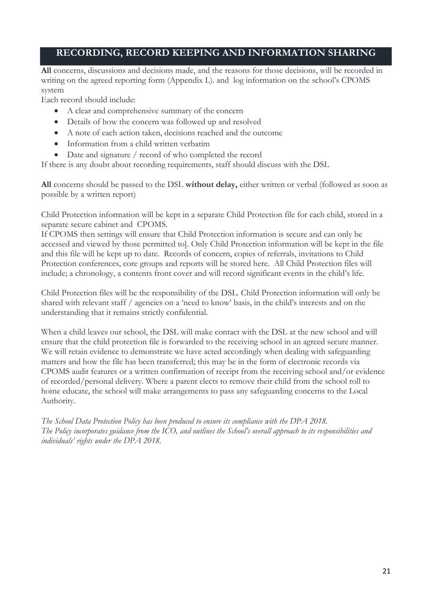# **RECORDING, RECORD KEEPING AND INFORMATION SHARING**

**All** concerns, discussions and decisions made, and the reasons for those decisions, will be recorded in writing on the agreed reporting form (Appendix L). and log information on the school's CPOMS system

Each record should include:

- A clear and comprehensive summary of the concern
- Details of how the concern was followed up and resolved
- A note of each action taken, decisions reached and the outcome
- Information from a child written verbatim
- Date and signature / record of who completed the record

If there is any doubt about recording requirements, staff should discuss with the DSL

**All** concerns should be passed to the DSL **without delay,** either written or verbal (followed as soon as possible by a written report)

Child Protection information will be kept in a separate Child Protection file for each child, stored in a separate secure cabinet and CPOMS.

If CPOMS then settings will ensure that Child Protection information is secure and can only be accessed and viewed by those permitted to]. Only Child Protection information will be kept in the file and this file will be kept up to date. Records of concern, copies of referrals, invitations to Child Protection conferences, core groups and reports will be stored here. All Child Protection files will include; a chronology, a contents front cover and will record significant events in the child's life.

Child Protection files will be the responsibility of the DSL. Child Protection information will only be shared with relevant staff / agencies on a 'need to know' basis, in the child's interests and on the understanding that it remains strictly confidential.

When a child leaves our school, the DSL will make contact with the DSL at the new school and will ensure that the child protection file is forwarded to the receiving school in an agreed secure manner. We will retain evidence to demonstrate we have acted accordingly when dealing with safeguarding matters and how the file has been transferred; this may be in the form of electronic records via CPOMS audit features or a written confirmation of receipt from the receiving school and/or evidence of recorded/personal delivery. Where a parent elects to remove their child from the school roll to home educate, the school will make arrangements to pass any safeguarding concerns to the Local Authority.

*The School Data Protection Policy has been produced to ensure its compliance with the DPA 2018. The Policy incorporates guidance from the ICO, and outlines the School's overall approach to its responsibilities and individuals' rights under the DPA 2018.*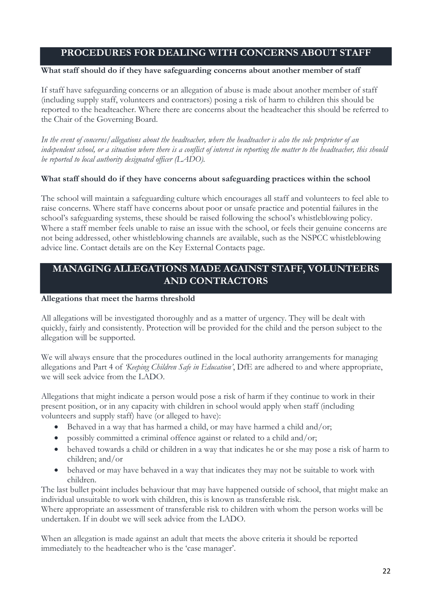## **PROCEDURES FOR DEALING WITH CONCERNS ABOUT STAFF**

## **What staff should do if they have safeguarding concerns about another member of staff**

If staff have safeguarding concerns or an allegation of abuse is made about another member of staff (including supply staff, volunteers and contractors) posing a risk of harm to children this should be reported to the headteacher. Where there are concerns about the headteacher this should be referred to the Chair of the Governing Board.

*In the event of concerns/allegations about the headteacher, where the headteacher is also the sole proprietor of an independent school, or a situation where there is a conflict of interest in reporting the matter to the headteacher, this should be reported to local authority designated officer (LADO).*

#### **What staff should do if they have concerns about safeguarding practices within the school**

The school will maintain a safeguarding culture which encourages all staff and volunteers to feel able to raise concerns. Where staff have concerns about poor or unsafe practice and potential failures in the school's safeguarding systems, these should be raised following the school's whistleblowing policy. Where a staff member feels unable to raise an issue with the school, or feels their genuine concerns are not being addressed, other whistleblowing channels are available, such as the NSPCC whistleblowing advice line. Contact details are on the Key External Contacts page.

## **MANAGING ALLEGATIONS MADE AGAINST STAFF, VOLUNTEERS AND CONTRACTORS**

#### **Allegations that meet the harms threshold**

All allegations will be investigated thoroughly and as a matter of urgency. They will be dealt with quickly, fairly and consistently. Protection will be provided for the child and the person subject to the allegation will be supported.

We will always ensure that the procedures outlined in the local authority arrangements for managing allegations and Part 4 of *'Keeping Children Safe in Education'*, DfE are adhered to and where appropriate, we will seek advice from the LADO.

Allegations that might indicate a person would pose a risk of harm if they continue to work in their present position, or in any capacity with children in school would apply when staff (including volunteers and supply staff) have (or alleged to have):

- $\bullet$  Behaved in a way that has harmed a child, or may have harmed a child and/or;
- possibly committed a criminal offence against or related to a child and/or;
- behaved towards a child or children in a way that indicates he or she may pose a risk of harm to children; and/or
- behaved or may have behaved in a way that indicates they may not be suitable to work with children.

The last bullet point includes behaviour that may have happened outside of school, that might make an individual unsuitable to work with children, this is known as transferable risk.

Where appropriate an assessment of transferable risk to children with whom the person works will be undertaken. If in doubt we will seek advice from the LADO.

When an allegation is made against an adult that meets the above criteria it should be reported immediately to the headteacher who is the 'case manager'.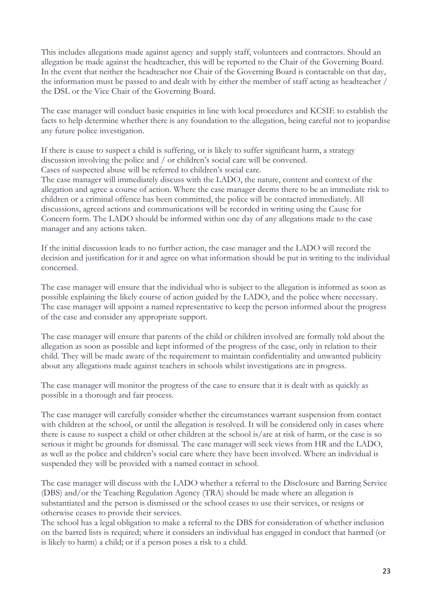This includes allegations made against agency and supply staff, volunteers and contractors. Should an allegation be made against the headteacher, this will be reported to the Chair of the Governing Board. In the event that neither the headteacher nor Chair of the Governing Board is contactable on that day, the information must be passed to and dealt with by either the member of staff acting as headteacher / the DSL or the Vice Chair of the Governing Board.

The case manager will conduct basic enquiries in line with local procedures and KCSIE to establish the facts to help determine whether there is any foundation to the allegation, being careful not to jeopardise any future police investigation.

If there is cause to suspect a child is suffering, or is likely to suffer significant harm, a strategy discussion involving the police and / or children's social care will be convened. Cases of suspected abuse will be referred to children's social care.

The case manager will immediately discuss with the LADO, the nature, content and context of the allegation and agree a course of action. Where the case manager deems there to be an immediate risk to children or a criminal offence has been committed, the police will be contacted immediately. All discussions, agreed actions and communications will be recorded in writing using the Cause for Concern form. The LADO should be informed within one day of any allegations made to the case manager and any actions taken.

If the initial discussion leads to no further action, the case manager and the LADO will record the decision and justification for it and agree on what information should be put in writing to the individual concerned.

The case manager will ensure that the individual who is subject to the allegation is informed as soon as possible explaining the likely course of action guided by the LADO, and the police where necessary. The case manager will appoint a named representative to keep the person informed about the progress of the case and consider any appropriate support.

The case manager will ensure that parents of the child or children involved are formally told about the allegation as soon as possible and kept informed of the progress of the case, only in relation to their child. They will be made aware of the requirement to maintain confidentiality and unwanted publicity about any allegations made against teachers in schools whilst investigations are in progress.

The case manager will monitor the progress of the case to ensure that it is dealt with as quickly as possible in a thorough and fair process.

The case manager will carefully consider whether the circumstances warrant suspension from contact with children at the school, or until the allegation is resolved. It will be considered only in cases where there is cause to suspect a child or other children at the school is/are at risk of harm, or the case is so serious it might be grounds for dismissal. The case manager will seek views from HR and the LADO, as well as the police and children's social care where they have been involved. Where an individual is suspended they will be provided with a named contact in school.

The case manager will discuss with the LADO whether a referral to the Disclosure and Barring Service (DBS) and/or the Teaching Regulation Agency (TRA) should be made where an allegation is substantiated and the person is dismissed or the school ceases to use their services, or resigns or otherwise ceases to provide their services.

The school has a legal obligation to make a referral to the DBS for consideration of whether inclusion on the barred lists is required; where it considers an individual has engaged in conduct that harmed (or is likely to harm) a child; or if a person poses a risk to a child.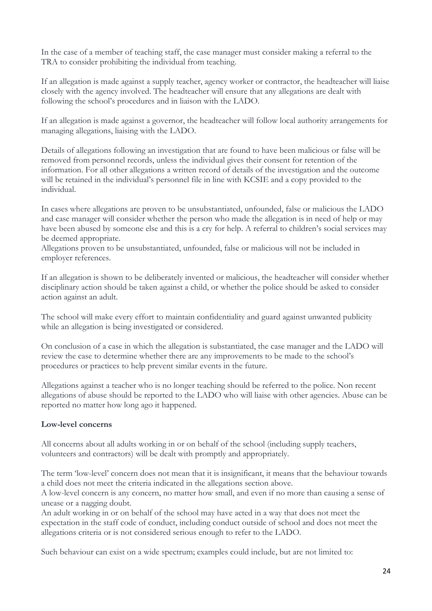In the case of a member of teaching staff, the case manager must consider making a referral to the TRA to consider prohibiting the individual from teaching.

If an allegation is made against a supply teacher, agency worker or contractor, the headteacher will liaise closely with the agency involved. The headteacher will ensure that any allegations are dealt with following the school's procedures and in liaison with the LADO.

If an allegation is made against a governor, the headteacher will follow local authority arrangements for managing allegations, liaising with the LADO.

Details of allegations following an investigation that are found to have been malicious or false will be removed from personnel records, unless the individual gives their consent for retention of the information. For all other allegations a written record of details of the investigation and the outcome will be retained in the individual's personnel file in line with KCSIE and a copy provided to the individual.

In cases where allegations are proven to be unsubstantiated, unfounded, false or malicious the LADO and case manager will consider whether the person who made the allegation is in need of help or may have been abused by someone else and this is a cry for help. A referral to children's social services may be deemed appropriate.

Allegations proven to be unsubstantiated, unfounded, false or malicious will not be included in employer references.

If an allegation is shown to be deliberately invented or malicious, the headteacher will consider whether disciplinary action should be taken against a child, or whether the police should be asked to consider action against an adult.

The school will make every effort to maintain confidentiality and guard against unwanted publicity while an allegation is being investigated or considered.

On conclusion of a case in which the allegation is substantiated, the case manager and the LADO will review the case to determine whether there are any improvements to be made to the school's procedures or practices to help prevent similar events in the future.

Allegations against a teacher who is no longer teaching should be referred to the police. Non recent allegations of abuse should be reported to the LADO who will liaise with other agencies. Abuse can be reported no matter how long ago it happened.

## **Low-level concerns**

All concerns about all adults working in or on behalf of the school (including supply teachers, volunteers and contractors) will be dealt with promptly and appropriately.

The term 'low-level' concern does not mean that it is insignificant, it means that the behaviour towards a child does not meet the criteria indicated in the allegations section above.

A low-level concern is any concern, no matter how small, and even if no more than causing a sense of unease or a nagging doubt.

An adult working in or on behalf of the school may have acted in a way that does not meet the expectation in the staff code of conduct, including conduct outside of school and does not meet the allegations criteria or is not considered serious enough to refer to the LADO.

Such behaviour can exist on a wide spectrum; examples could include, but are not limited to: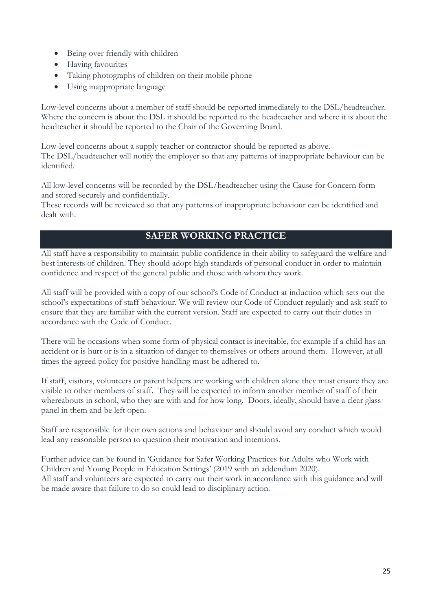- Being over friendly with children
- Having favourites
- Taking photographs of children on their mobile phone
- Using inappropriate language

Low-level concerns about a member of staff should be reported immediately to the DSL/headteacher. Where the concern is about the DSL it should be reported to the headteacher and where it is about the headteacher it should be reported to the Chair of the Governing Board.

Low-level concerns about a supply teacher or contractor should be reported as above. The DSL/headteacher will notify the employer so that any patterns of inappropriate behaviour can be identified.

All low-level concerns will be recorded by the DSL/headteacher using the Cause for Concern form and stored securely and confidentially.

These records will be reviewed so that any patterns of inappropriate behaviour can be identified and dealt with.

## **SAFER WORKING PRACTICE**

All staff have a responsibility to maintain public confidence in their ability to safeguard the welfare and best interests of children. They should adopt high standards of personal conduct in order to maintain confidence and respect of the general public and those with whom they work.

All staff will be provided with a copy of our school's Code of Conduct at induction which sets out the school's expectations of staff behaviour. We will review our Code of Conduct regularly and ask staff to ensure that they are familiar with the current version. Staff are expected to carry out their duties in accordance with the Code of Conduct.

There will be occasions when some form of physical contact is inevitable, for example if a child has an accident or is hurt or is in a situation of danger to themselves or others around them. However, at all times the agreed policy for positive handling must be adhered to.

If staff, visitors, volunteers or parent helpers are working with children alone they must ensure they are visible to other members of staff. They will be expected to inform another member of staff of their whereabouts in school, who they are with and for how long. Doors, ideally, should have a clear glass panel in them and be left open.

Staff are responsible for their own actions and behaviour and should avoid any conduct which would lead any reasonable person to question their motivation and intentions.

Further advice can be found in 'Guidance for Safer Working Practices for Adults who Work with Children and Young People in Education Settings' (2019 with an addendum 2020). All staff and volunteers are expected to carry out their work in accordance with this guidance and will be made aware that failure to do so could lead to disciplinary action.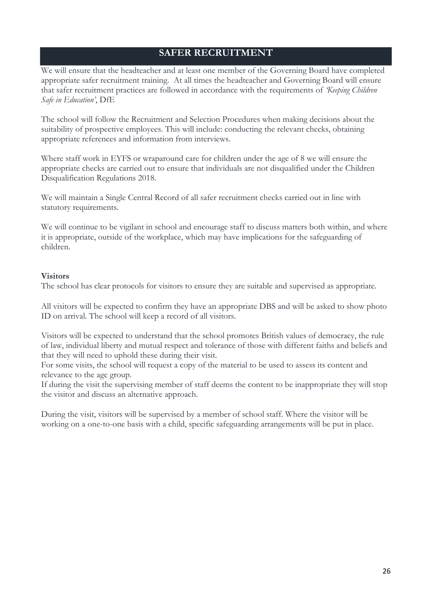## **SAFER RECRUITMENT**

We will ensure that the headteacher and at least one member of the Governing Board have completed appropriate safer recruitment training. At all times the headteacher and Governing Board will ensure that safer recruitment practices are followed in accordance with the requirements of *'Keeping Children Safe in Education'*, DfE

The school will follow the Recruitment and Selection Procedures when making decisions about the suitability of prospective employees. This will include: conducting the relevant checks, obtaining appropriate references and information from interviews.

Where staff work in EYFS or wraparound care for children under the age of 8 we will ensure the appropriate checks are carried out to ensure that individuals are not disqualified under the Children Disqualification Regulations 2018.

We will maintain a Single Central Record of all safer recruitment checks carried out in line with statutory requirements.

We will continue to be vigilant in school and encourage staff to discuss matters both within, and where it is appropriate, outside of the workplace, which may have implications for the safeguarding of children.

#### **Visitors**

The school has clear protocols for visitors to ensure they are suitable and supervised as appropriate.

All visitors will be expected to confirm they have an appropriate DBS and will be asked to show photo ID on arrival. The school will keep a record of all visitors.

Visitors will be expected to understand that the school promotes British values of democracy, the rule of law, individual liberty and mutual respect and tolerance of those with different faiths and beliefs and that they will need to uphold these during their visit.

For some visits, the school will request a copy of the material to be used to assess its content and relevance to the age group.

If during the visit the supervising member of staff deems the content to be inappropriate they will stop the visitor and discuss an alternative approach.

During the visit, visitors will be supervised by a member of school staff. Where the visitor will be working on a one-to-one basis with a child, specific safeguarding arrangements will be put in place.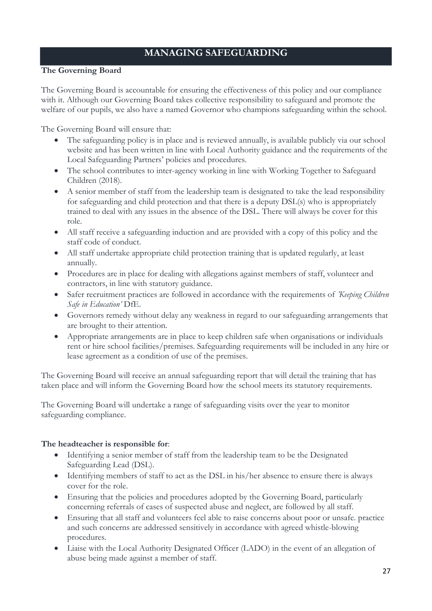## **MANAGING SAFEGUARDING**

## **The Governing Board**

The Governing Board is accountable for ensuring the effectiveness of this policy and our compliance with it. Although our Governing Board takes collective responsibility to safeguard and promote the welfare of our pupils, we also have a named Governor who champions safeguarding within the school.

The Governing Board will ensure that:

- The safeguarding policy is in place and is reviewed annually, is available publicly via our school website and has been written in line with Local Authority guidance and the requirements of the Local Safeguarding Partners' policies and procedures.
- The school contributes to inter-agency working in line with Working Together to Safeguard Children (2018).
- A senior member of staff from the leadership team is designated to take the lead responsibility for safeguarding and child protection and that there is a deputy DSL(s) who is appropriately trained to deal with any issues in the absence of the DSL. There will always be cover for this role.
- All staff receive a safeguarding induction and are provided with a copy of this policy and the staff code of conduct.
- All staff undertake appropriate child protection training that is updated regularly, at least annually.
- Procedures are in place for dealing with allegations against members of staff, volunteer and contractors, in line with statutory guidance.
- Safer recruitment practices are followed in accordance with the requirements of *['Keeping Children](https://www.gov.uk/government/publications/keeping-children-safe-in-education--2) [Safe in Education'](https://www.gov.uk/government/publications/keeping-children-safe-in-education--2)* DfE.
- Governors remedy without delay any weakness in regard to our safeguarding arrangements that are brought to their attention.
- Appropriate arrangements are in place to keep children safe when organisations or individuals rent or hire school facilities/premises. Safeguarding requirements will be included in any hire or lease agreement as a condition of use of the premises.

The Governing Board will receive an annual safeguarding report that will detail the training that has taken place and will inform the Governing Board how the school meets its statutory requirements.

The Governing Board will undertake a range of safeguarding visits over the year to monitor safeguarding compliance.

#### **The headteacher is responsible for**:

- Identifying a senior member of staff from the leadership team to be the Designated Safeguarding Lead (DSL).
- Identifying members of staff to act as the DSL in his/her absence to ensure there is always cover for the role.
- Ensuring that the policies and procedures adopted by the Governing Board, particularly concerning referrals of cases of suspected abuse and neglect, are followed by all staff.
- Ensuring that all staff and volunteers feel able to raise concerns about poor or unsafe. practice and such concerns are addressed sensitively in accordance with agreed whistle-blowing procedures.
- Liaise with the Local Authority Designated Officer (LADO) in the event of an allegation of abuse being made against a member of staff.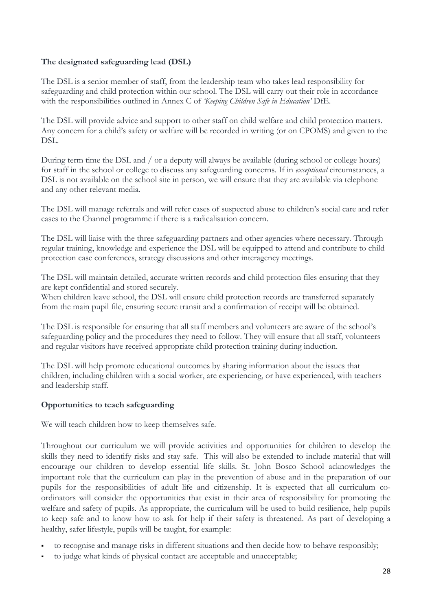## **The designated safeguarding lead (DSL)**

The DSL is a senior member of staff, from the leadership team who takes lead responsibility for safeguarding and child protection within our school. The DSL will carry out their role in accordance with the responsibilities outlined in Annex C of *'Keeping Children Safe in Education'* DfE.

The DSL will provide advice and support to other staff on child welfare and child protection matters. Any concern for a child's safety or welfare will be recorded in writing (or on CPOMS) and given to the DSL.

During term time the DSL and / or a deputy will always be available (during school or college hours) for staff in the school or college to discuss any safeguarding concerns. If in *exceptional* circumstances, a DSL is not available on the school site in person, we will ensure that they are available via telephone and any other relevant media.

The DSL will manage referrals and will refer cases of suspected abuse to children's social care and refer cases to the Channel programme if there is a radicalisation concern.

The DSL will liaise with the three safeguarding partners and other agencies where necessary. Through regular training, knowledge and experience the DSL will be equipped to attend and contribute to child protection case conferences, strategy discussions and other interagency meetings.

The DSL will maintain detailed, accurate written records and child protection files ensuring that they are kept confidential and stored securely.

When children leave school, the DSL will ensure child protection records are transferred separately from the main pupil file, ensuring secure transit and a confirmation of receipt will be obtained.

The DSL is responsible for ensuring that all staff members and volunteers are aware of the school's safeguarding policy and the procedures they need to follow. They will ensure that all staff, volunteers and regular visitors have received appropriate child protection training during induction.

The DSL will help promote educational outcomes by sharing information about the issues that children, including children with a social worker, are experiencing, or have experienced, with teachers and leadership staff.

## **Opportunities to teach safeguarding**

We will teach children how to keep themselves safe.

Throughout our curriculum we will provide activities and opportunities for children to develop the skills they need to identify risks and stay safe. This will also be extended to include material that will encourage our children to develop essential life skills. St. John Bosco School acknowledges the important role that the curriculum can play in the prevention of abuse and in the preparation of our pupils for the responsibilities of adult life and citizenship. It is expected that all curriculum coordinators will consider the opportunities that exist in their area of responsibility for promoting the welfare and safety of pupils. As appropriate, the curriculum will be used to build resilience, help pupils to keep safe and to know how to ask for help if their safety is threatened. As part of developing a healthy, safer lifestyle, pupils will be taught, for example:

- to recognise and manage risks in different situations and then decide how to behave responsibly;
- to judge what kinds of physical contact are acceptable and unacceptable;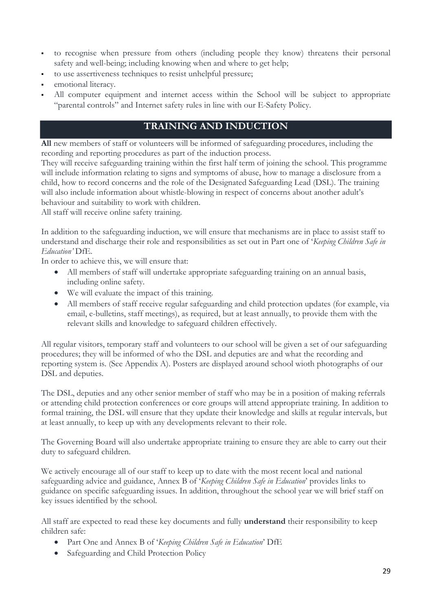- to recognise when pressure from others (including people they know) threatens their personal safety and well-being; including knowing when and where to get help;
- to use assertiveness techniques to resist unhelpful pressure;
- emotional literacy.
- All computer equipment and internet access within the School will be subject to appropriate "parental controls" and Internet safety rules in line with our E-Safety Policy.

## **TRAINING AND INDUCTION**

**All** new members of staff or volunteers will be informed of safeguarding procedures, including the recording and reporting procedures as part of the induction process.

They will receive safeguarding training within the first half term of joining the school. This programme will include information relating to signs and symptoms of abuse, how to manage a disclosure from a child, how to record concerns and the role of the Designated Safeguarding Lead (DSL). The training will also include information about whistle-blowing in respect of concerns about another adult's behaviour and suitability to work with children.

All staff will receive online safety training.

In addition to the safeguarding induction, we will ensure that mechanisms are in place to assist staff to understand and discharge their role and responsibilities as set out in Part one of '*Keeping Children Safe in Education'* DfE.

In order to achieve this, we will ensure that:

- All members of staff will undertake appropriate safeguarding training on an annual basis, including online safety.
- We will evaluate the impact of this training.
- All members of staff receive regular safeguarding and child protection updates (for example, via email, e-bulletins, staff meetings), as required, but at least annually, to provide them with the relevant skills and knowledge to safeguard children effectively.

All regular visitors, temporary staff and volunteers to our school will be given a set of our safeguarding procedures; they will be informed of who the DSL and deputies are and what the recording and reporting system is. (See Appendix A). Posters are displayed around school wioth photographs of our DSL and deputies.

The DSL, deputies and any other senior member of staff who may be in a position of making referrals or attending child protection conferences or core groups will attend appropriate training. In addition to formal training, the DSL will ensure that they update their knowledge and skills at regular intervals, but at least annually, to keep up with any developments relevant to their role.

The Governing Board will also undertake appropriate training to ensure they are able to carry out their duty to safeguard children.

We actively encourage all of our staff to keep up to date with the most recent local and national safeguarding advice and guidance, Annex B of '*Keeping Children Safe in Education*' provides links to guidance on specific safeguarding issues. In addition, throughout the school year we will brief staff on key issues identified by the school.

All staff are expected to read these key documents and fully **understand** their responsibility to keep children safe:

- Part One and Annex B of '*Keeping Children Safe in Education*' DfE
- Safeguarding and Child Protection Policy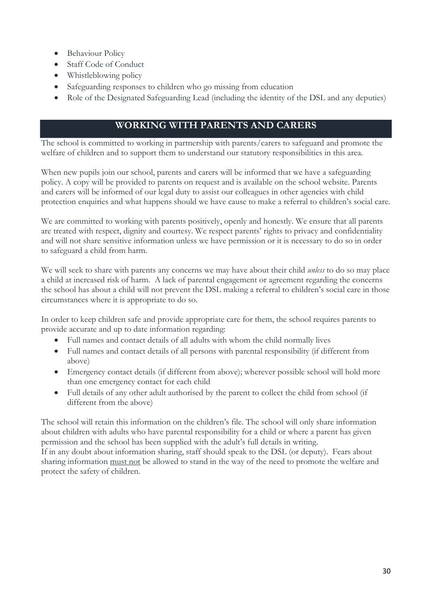- Behaviour Policy
- Staff Code of Conduct
- Whistleblowing policy
- Safeguarding responses to children who go missing from education
- Role of the Designated Safeguarding Lead (including the identity of the DSL and any deputies)

## **WORKING WITH PARENTS AND CARERS**

The school is committed to working in partnership with parents/carers to safeguard and promote the welfare of children and to support them to understand our statutory responsibilities in this area.

When new pupils join our school, parents and carers will be informed that we have a safeguarding policy. A copy will be provided to parents on request and is available on the school website. Parents and carers will be informed of our legal duty to assist our colleagues in other agencies with child protection enquiries and what happens should we have cause to make a referral to children's social care.

We are committed to working with parents positively, openly and honestly. We ensure that all parents are treated with respect, dignity and courtesy. We respect parents' rights to privacy and confidentiality and will not share sensitive information unless we have permission or it is necessary to do so in order to safeguard a child from harm.

We will seek to share with parents any concerns we may have about their child *unless* to do so may place a child at increased risk of harm. A lack of parental engagement or agreement regarding the concerns the school has about a child will not prevent the DSL making a referral to children's social care in those circumstances where it is appropriate to do so.

In order to keep children safe and provide appropriate care for them, the school requires parents to provide accurate and up to date information regarding:

- Full names and contact details of all adults with whom the child normally lives
- Full names and contact details of all persons with parental responsibility (if different from above)
- Emergency contact details (if different from above); wherever possible school will hold more than one emergency contact for each child
- Full details of any other adult authorised by the parent to collect the child from school (if different from the above)

The school will retain this information on the children's file. The school will only share information about children with adults who have parental responsibility for a child or where a parent has given permission and the school has been supplied with the adult's full details in writing.

If in any doubt about information sharing, staff should speak to the DSL (or deputy). Fears about sharing information must not be allowed to stand in the way of the need to promote the welfare and protect the safety of children.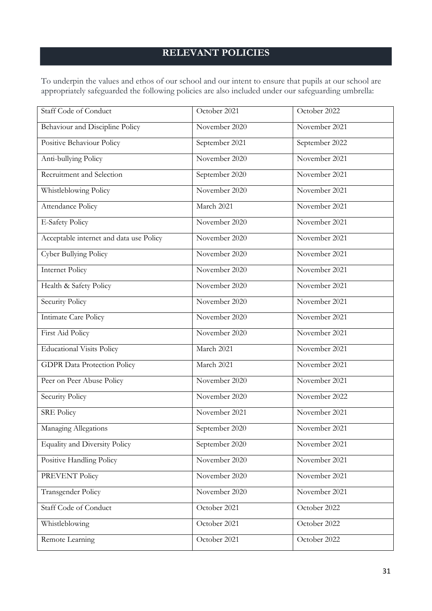# **RELEVANT POLICIES**

To underpin the values and ethos of our school and our intent to ensure that pupils at our school are appropriately safeguarded the following policies are also included under our safeguarding umbrella:

| Staff Code of Conduct                   | October 2021   | October 2022   |
|-----------------------------------------|----------------|----------------|
| Behaviour and Discipline Policy         | November 2020  | November 2021  |
| Positive Behaviour Policy               | September 2021 | September 2022 |
| Anti-bullying Policy                    | November 2020  | November 2021  |
| Recruitment and Selection               | September 2020 | November 2021  |
| Whistleblowing Policy                   | November 2020  | November 2021  |
| Attendance Policy                       | March 2021     | November 2021  |
| <b>E-Safety Policy</b>                  | November 2020  | November 2021  |
| Acceptable internet and data use Policy | November 2020  | November 2021  |
| <b>Cyber Bullying Policy</b>            | November 2020  | November 2021  |
| <b>Internet Policy</b>                  | November 2020  | November 2021  |
| Health & Safety Policy                  | November 2020  | November 2021  |
| Security Policy                         | November 2020  | November 2021  |
| Intimate Care Policy                    | November 2020  | November 2021  |
| First Aid Policy                        | November 2020  | November 2021  |
| <b>Educational Visits Policy</b>        | March 2021     | November 2021  |
| <b>GDPR</b> Data Protection Policy      | March 2021     | November 2021  |
| Peer on Peer Abuse Policy               | November 2020  | November 2021  |
| Security Policy                         | November 2020  | November 2022  |
| <b>SRE Policy</b>                       | November 2021  | November 2021  |
| Managing Allegations                    | September 2020 | November 2021  |
| <b>Equality and Diversity Policy</b>    | September 2020 | November 2021  |
| Positive Handling Policy                | November 2020  | November 2021  |
| PREVENT Policy                          | November 2020  | November 2021  |
| Transgender Policy                      | November 2020  | November 2021  |
| Staff Code of Conduct                   | October 2021   | October 2022   |
| Whistleblowing                          | October 2021   | October 2022   |
| Remote Learning                         | October 2021   | October 2022   |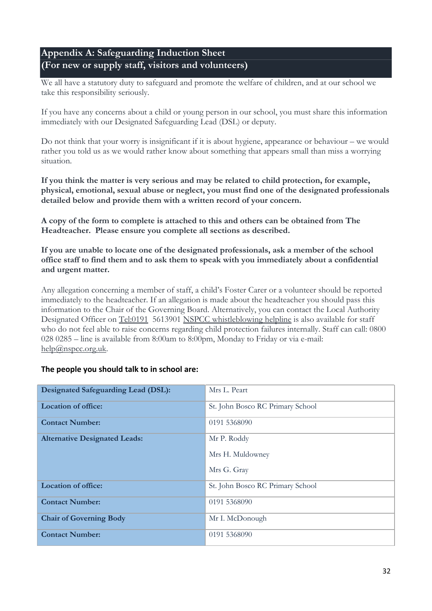## **Appendix A: Safeguarding Induction Sheet (For new or supply staff, visitors and volunteers)**

We all have a statutory duty to safeguard and promote the welfare of children, and at our school we take this responsibility seriously.

If you have any concerns about a child or young person in our school, you must share this information immediately with our Designated Safeguarding Lead (DSL) or deputy.

Do not think that your worry is insignificant if it is about hygiene, appearance or behaviour – we would rather you told us as we would rather know about something that appears small than miss a worrying situation.

**If you think the matter is very serious and may be related to child protection, for example, physical, emotional, sexual abuse or neglect, you must find one of the designated professionals detailed below and provide them with a written record of your concern.**

**A copy of the form to complete is attached to this and others can be obtained from The Headteacher. Please ensure you complete all sections as described.**

**If you are unable to locate one of the designated professionals, ask a member of the school office staff to find them and to ask them to speak with you immediately about a confidential and urgent matter.**

Any allegation concerning a member of staff, a child's Foster Carer or a volunteer should be reported immediately to the headteacher. If an allegation is made about the headteacher you should pass this information to the Chair of the Governing Board. Alternatively, you can contact the Local Authority Designated Officer on<Tel:0191> 5613901 [NSPCC whistleblowing helpline](https://www.gov.uk/government/news/home-office-launches-child-abuse-whistleblowing-helpline) is also available for staff who do not feel able to raise concerns regarding child protection failures internally. Staff can call: 0800 028 0285 – line is available from 8:00am to 8:00pm, Monday to Friday or via e-mail: [help@nspcc.org.uk.](mailto:help@nspcc.org.uk)

#### **The people you should talk to in school are:**

| <b>Designated Safeguarding Lead (DSL):</b> | Mrs L. Peart                     |
|--------------------------------------------|----------------------------------|
| Location of office:                        | St. John Bosco RC Primary School |
| <b>Contact Number:</b>                     | 0191 5368090                     |
| <b>Alternative Designated Leads:</b>       | Mr P. Roddy                      |
|                                            | Mrs H. Muldowney                 |
|                                            | Mrs G. Gray                      |
| Location of office:                        | St. John Bosco RC Primary School |
| <b>Contact Number:</b>                     | 0191 5368090                     |
| <b>Chair of Governing Body</b>             | Mr I. McDonough                  |
| <b>Contact Number:</b>                     | 0191 5368090                     |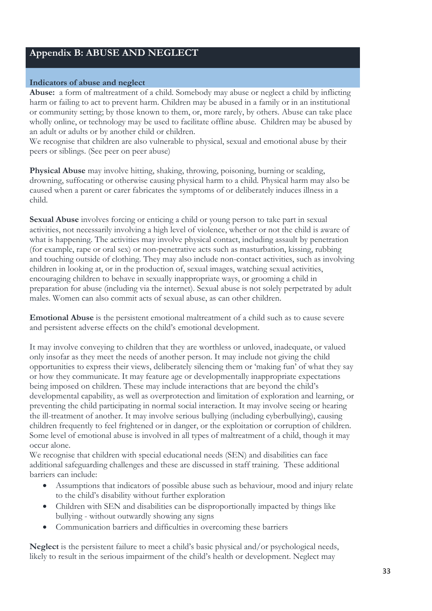## **Appendix B: ABUSE AND NEGLECT**

#### **Indicators of abuse and neglect**

**Abuse:** a form of maltreatment of a child. Somebody may abuse or neglect a child by inflicting harm or failing to act to prevent harm. Children may be abused in a family or in an institutional or community setting; by those known to them, or, more rarely, by others. Abuse can take place wholly online, or technology may be used to facilitate offline abuse. Children may be abused by an adult or adults or by another child or children.

We recognise that children are also vulnerable to physical, sexual and emotional abuse by their peers or siblings. (See peer on peer abuse)

**Physical Abuse** may involve hitting, shaking, throwing, poisoning, burning or scalding, drowning, suffocating or otherwise causing physical harm to a child. Physical harm may also be caused when a parent or carer fabricates the symptoms of or deliberately induces illness in a child.

**Sexual Abuse** involves forcing or enticing a child or young person to take part in sexual activities, not necessarily involving a high level of violence, whether or not the child is aware of what is happening. The activities may involve physical contact, including assault by penetration (for example, rape or oral sex) or non-penetrative acts such as masturbation, kissing, rubbing and touching outside of clothing. They may also include non-contact activities, such as involving children in looking at, or in the production of, sexual images, watching sexual activities, encouraging children to behave in sexually inappropriate ways, or grooming a child in preparation for abuse (including via the internet). Sexual abuse is not solely perpetrated by adult males. Women can also commit acts of sexual abuse, as can other children.

**Emotional Abuse** is the persistent emotional maltreatment of a child such as to cause severe and persistent adverse effects on the child's emotional development.

It may involve conveying to children that they are worthless or unloved, inadequate, or valued only insofar as they meet the needs of another person. It may include not giving the child opportunities to express their views, deliberately silencing them or 'making fun' of what they say or how they communicate. It may feature age or developmentally inappropriate expectations being imposed on children. These may include interactions that are beyond the child's developmental capability, as well as overprotection and limitation of exploration and learning, or preventing the child participating in normal social interaction. It may involve seeing or hearing the ill-treatment of another. It may involve serious bullying (including cyberbullying), causing children frequently to feel frightened or in danger, or the exploitation or corruption of children. Some level of emotional abuse is involved in all types of maltreatment of a child, though it may occur alone.

We recognise that children with special educational needs (SEN) and disabilities can face additional safeguarding challenges and these are discussed in staff training. These additional barriers can include:

- Assumptions that indicators of possible abuse such as behaviour, mood and injury relate to the child's disability without further exploration
- Children with SEN and disabilities can be disproportionally impacted by things like bullying - without outwardly showing any signs
- Communication barriers and difficulties in overcoming these barriers

**Neglect** is the persistent failure to meet a child's basic physical and/or psychological needs, likely to result in the serious impairment of the child's health or development. Neglect may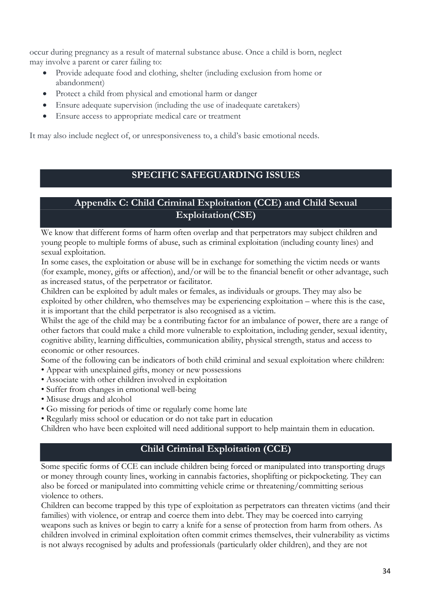occur during pregnancy as a result of maternal substance abuse. Once a child is born, neglect may involve a parent or carer failing to:

- Provide adequate food and clothing, shelter (including exclusion from home or abandonment)
- Protect a child from physical and emotional harm or danger
- Ensure adequate supervision (including the use of inadequate caretakers)
- Ensure access to appropriate medical care or treatment

It may also include neglect of, or unresponsiveness to, a child's basic emotional needs.

## **SPECIFIC SAFEGUARDING ISSUES**

## **Appendix C: Child Criminal Exploitation (CCE) and Child Sexual Exploitation(CSE)**

We know that different forms of harm often overlap and that perpetrators may subject children and young people to multiple forms of abuse, such as criminal exploitation (including county lines) and sexual exploitation.

In some cases, the exploitation or abuse will be in exchange for something the victim needs or wants (for example, money, gifts or affection), and/or will be to the financial benefit or other advantage, such as increased status, of the perpetrator or facilitator.

Children can be exploited by adult males or females, as individuals or groups. They may also be exploited by other children, who themselves may be experiencing exploitation – where this is the case, it is important that the child perpetrator is also recognised as a victim.

Whilst the age of the child may be a contributing factor for an imbalance of power, there are a range of other factors that could make a child more vulnerable to exploitation, including gender, sexual identity, cognitive ability, learning difficulties, communication ability, physical strength, status and access to economic or other resources.

Some of the following can be indicators of both child criminal and sexual exploitation where children:

- Appear with unexplained gifts, money or new possessions
- Associate with other children involved in exploitation
- Suffer from changes in emotional well-being
- Misuse drugs and alcohol
- Go missing for periods of time or regularly come home late
- Regularly miss school or education or do not take part in education

Children who have been exploited will need additional support to help maintain them in education.

## **Child Criminal Exploitation (CCE)**

Some specific forms of CCE can include children being forced or manipulated into transporting drugs or money through county lines, working in cannabis factories, shoplifting or pickpocketing. They can also be forced or manipulated into committing vehicle crime or threatening/committing serious violence to others.

Children can become trapped by this type of exploitation as perpetrators can threaten victims (and their families) with violence, or entrap and coerce them into debt. They may be coerced into carrying weapons such as knives or begin to carry a knife for a sense of protection from harm from others. As children involved in criminal exploitation often commit crimes themselves, their vulnerability as victims is not always recognised by adults and professionals (particularly older children), and they are not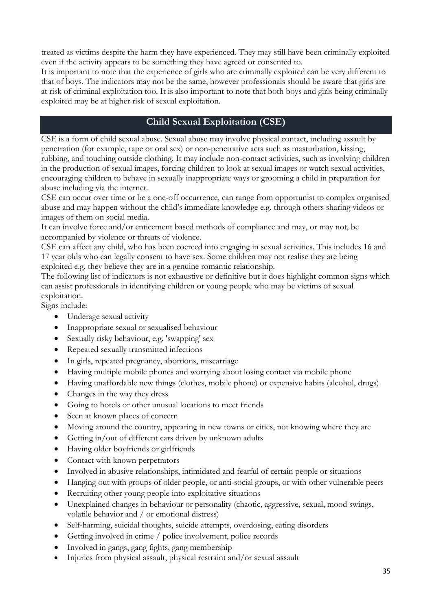treated as victims despite the harm they have experienced. They may still have been criminally exploited even if the activity appears to be something they have agreed or consented to.

It is important to note that the experience of girls who are criminally exploited can be very different to that of boys. The indicators may not be the same, however professionals should be aware that girls are at risk of criminal exploitation too. It is also important to note that both boys and girls being criminally exploited may be at higher risk of sexual exploitation.

## **Child Sexual Exploitation (CSE)**

CSE is a form of child sexual abuse. Sexual abuse may involve physical contact, including assault by penetration (for example, rape or oral sex) or non-penetrative acts such as masturbation, kissing, rubbing, and touching outside clothing. It may include non-contact activities, such as involving children in the production of sexual images, forcing children to look at sexual images or watch sexual activities, encouraging children to behave in sexually inappropriate ways or grooming a child in preparation for abuse including via the internet.

CSE can occur over time or be a one-off occurrence, can range from opportunist to complex organised abuse and may happen without the child's immediate knowledge e.g. through others sharing videos or images of them on social media.

It can involve force and/or enticement based methods of compliance and may, or may not, be accompanied by violence or threats of violence.

CSE can affect any child, who has been coerced into engaging in sexual activities. This includes 16 and 17 year olds who can legally consent to have sex. Some children may not realise they are being exploited e.g. they believe they are in a genuine romantic relationship.

The following list of indicators is not exhaustive or definitive but it does highlight common signs which can assist professionals in identifying children or young people who may be victims of sexual exploitation.

Signs include:

- Underage sexual activity
- Inappropriate sexual or sexualised behaviour
- Sexually risky behaviour, e.g. 'swapping' sex
- Repeated sexually transmitted infections
- In girls, repeated pregnancy, abortions, miscarriage
- Having multiple mobile phones and worrying about losing contact via mobile phone
- Having unaffordable new things (clothes, mobile phone) or expensive habits (alcohol, drugs)
- Changes in the way they dress
- Going to hotels or other unusual locations to meet friends
- Seen at known places of concern
- Moving around the country, appearing in new towns or cities, not knowing where they are
- Getting in/out of different cars driven by unknown adults
- Having older boyfriends or girlfriends
- Contact with known perpetrators
- Involved in abusive relationships, intimidated and fearful of certain people or situations
- Hanging out with groups of older people, or anti-social groups, or with other vulnerable peers
- Recruiting other young people into exploitative situations
- Unexplained changes in behaviour or personality (chaotic, aggressive, sexual, mood swings, volatile behavior and / or emotional distress)
- Self-harming, suicidal thoughts, suicide attempts, overdosing, eating disorders
- Getting involved in crime / police involvement, police records
- Involved in gangs, gang fights, gang membership
- Injuries from physical assault, physical restraint and/or sexual assault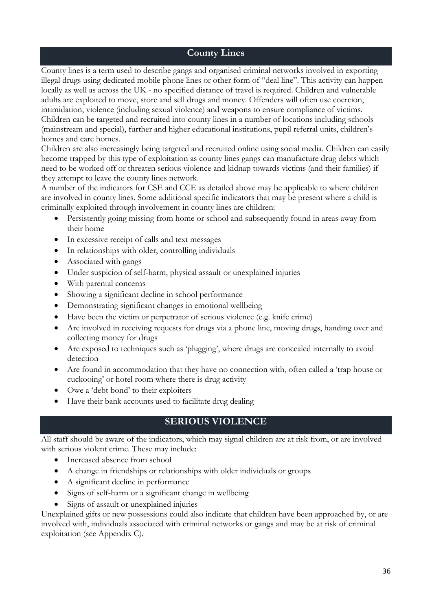## **County Lines**

County lines is a term used to describe gangs and organised criminal networks involved in exporting illegal drugs using dedicated mobile phone lines or other form of "deal line". This activity can happen locally as well as across the UK - no specified distance of travel is required. Children and vulnerable adults are exploited to move, store and sell drugs and money. Offenders will often use coercion, intimidation, violence (including sexual violence) and weapons to ensure compliance of victims. Children can be targeted and recruited into county lines in a number of locations including schools (mainstream and special), further and higher educational institutions, pupil referral units, children's homes and care homes.

Children are also increasingly being targeted and recruited online using social media. Children can easily become trapped by this type of exploitation as county lines gangs can manufacture drug debts which need to be worked off or threaten serious violence and kidnap towards victims (and their families) if they attempt to leave the county lines network.

A number of the indicators for CSE and CCE as detailed above may be applicable to where children are involved in county lines. Some additional specific indicators that may be present where a child is criminally exploited through involvement in county lines are children:

- Persistently going missing from home or school and subsequently found in areas away from their home
- In excessive receipt of calls and text messages
- In relationships with older, controlling individuals
- Associated with gangs
- Under suspicion of self-harm, physical assault or unexplained injuries
- With parental concerns
- Showing a significant decline in school performance
- Demonstrating significant changes in emotional wellbeing
- Have been the victim or perpetrator of serious violence (e.g. knife crime)
- Are involved in receiving requests for drugs via a phone line, moving drugs, handing over and collecting money for drugs
- Are exposed to techniques such as 'plugging', where drugs are concealed internally to avoid detection
- Are found in accommodation that they have no connection with, often called a 'trap house or cuckooing' or hotel room where there is drug activity
- Owe a 'debt bond' to their exploiters
- Have their bank accounts used to facilitate drug dealing

## **SERIOUS VIOLENCE**

All staff should be aware of the indicators, which may signal children are at risk from, or are involved with serious violent crime. These may include:

- Increased absence from school
- A change in friendships or relationships with older individuals or groups
- A significant decline in performance
- Signs of self-harm or a significant change in wellbeing
- Signs of assault or unexplained injuries

Unexplained gifts or new possessions could also indicate that children have been approached by, or are involved with, individuals associated with criminal networks or gangs and may be at risk of criminal exploitation (see Appendix C).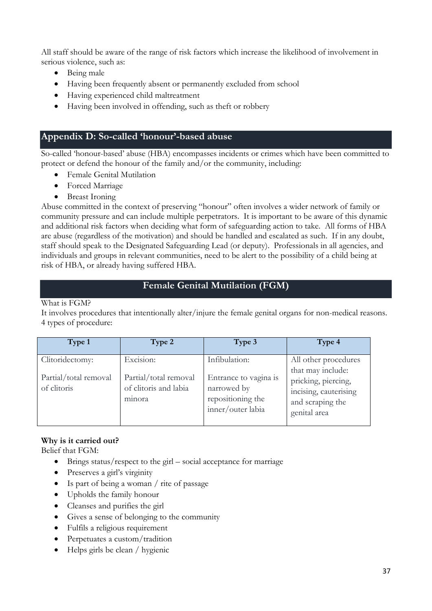All staff should be aware of the range of risk factors which increase the likelihood of involvement in serious violence, such as:

- Being male
- Having been frequently absent or permanently excluded from school
- Having experienced child maltreatment
- Having been involved in offending, such as theft or robbery

## **Appendix D: So-called 'honour'-based abuse**

So-called 'honour-based' abuse (HBA) encompasses incidents or crimes which have been committed to protect or defend the honour of the family and/or the community, including:

- Female Genital Mutilation
- Forced Marriage
- Breast Ironing

Abuse committed in the context of preserving "honour" often involves a wider network of family or community pressure and can include multiple perpetrators. It is important to be aware of this dynamic and additional risk factors when deciding what form of safeguarding action to take. All forms of HBA are abuse (regardless of the motivation) and should be handled and escalated as such. If in any doubt, staff should speak to the Designated Safeguarding Lead (or deputy). Professionals in all agencies, and individuals and groups in relevant communities, need to be alert to the possibility of a child being at risk of HBA, or already having suffered HBA.

## **Female Genital Mutilation (FGM)**

#### What is FGM?

It involves procedures that intentionally alter/injure the female genital organs for non-medical reasons. 4 types of procedure:

| Type 1                                                  | Type 2                                                                | Type 3                                                                                          | Type 4                                                                                                                        |
|---------------------------------------------------------|-----------------------------------------------------------------------|-------------------------------------------------------------------------------------------------|-------------------------------------------------------------------------------------------------------------------------------|
| Clitoridectomy:<br>Partial/total removal<br>of clitoris | Excision:<br>Partial/total removal<br>of clitoris and labia<br>minora | Infibulation:<br>Entrance to vagina is<br>narrowed by<br>repositioning the<br>inner/outer labia | All other procedures<br>that may include:<br>pricking, piercing,<br>incising, cauterising<br>and scraping the<br>genital area |

## **Why is it carried out?**

Belief that FGM:

- $\bullet$  Brings status/respect to the girl social acceptance for marriage
- Preserves a girl's virginity
- Is part of being a woman / rite of passage
- Upholds the family honour
- Cleanses and purifies the girl
- Gives a sense of belonging to the community
- Fulfils a religious requirement
- Perpetuates a custom/tradition
- Helps girls be clean / hygienic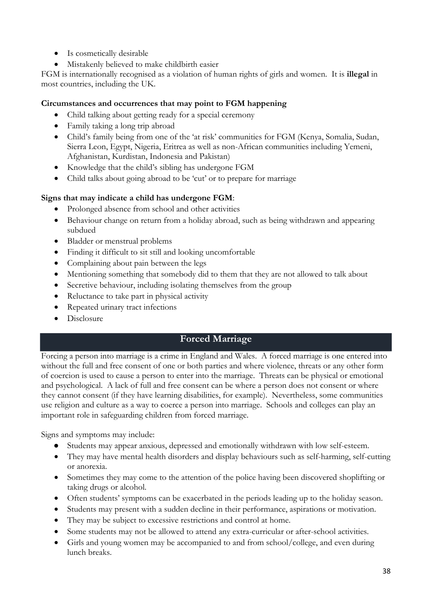- Is cosmetically desirable
- Mistakenly believed to make childbirth easier

FGM is internationally recognised as a violation of human rights of girls and women. It is **illegal** in most countries, including the UK.

## **Circumstances and occurrences that may point to FGM happening**

- Child talking about getting ready for a special ceremony
- Family taking a long trip abroad
- Child's family being from one of the 'at risk' communities for FGM (Kenya, Somalia, Sudan, Sierra Leon, Egypt, Nigeria, Eritrea as well as non-African communities including Yemeni, Afghanistan, Kurdistan, Indonesia and Pakistan)
- Knowledge that the child's sibling has undergone FGM
- Child talks about going abroad to be 'cut' or to prepare for marriage

## **Signs that may indicate a child has undergone FGM**:

- Prolonged absence from school and other activities
- Behaviour change on return from a holiday abroad, such as being withdrawn and appearing subdued
- Bladder or menstrual problems
- Finding it difficult to sit still and looking uncomfortable
- Complaining about pain between the legs
- Mentioning something that somebody did to them that they are not allowed to talk about
- Secretive behaviour, including isolating themselves from the group
- Reluctance to take part in physical activity
- Repeated urinary tract infections
- Disclosure

## **Forced Marriage**

Forcing a person into marriage is a crime in England and Wales. A forced marriage is one entered into without the full and free consent of one or both parties and where violence, threats or any other form of coercion is used to cause a person to enter into the marriage. Threats can be physical or emotional and psychological. A lack of full and free consent can be where a person does not consent or where they cannot consent (if they have learning disabilities, for example). Nevertheless, some communities use religion and culture as a way to coerce a person into marriage. Schools and colleges can play an important role in safeguarding children from forced marriage.

Signs and symptoms may include:

- Students may appear anxious, depressed and emotionally withdrawn with low self-esteem.
- They may have mental health disorders and display behaviours such as self-harming, self-cutting or anorexia.
- Sometimes they may come to the attention of the police having been discovered shoplifting or taking drugs or alcohol.
- Often students' symptoms can be exacerbated in the periods leading up to the holiday season.
- Students may present with a sudden decline in their performance, aspirations or motivation.
- They may be subject to excessive restrictions and control at home.
- Some students may not be allowed to attend any extra-curricular or after-school activities.
- Girls and young women may be accompanied to and from school/college, and even during lunch breaks.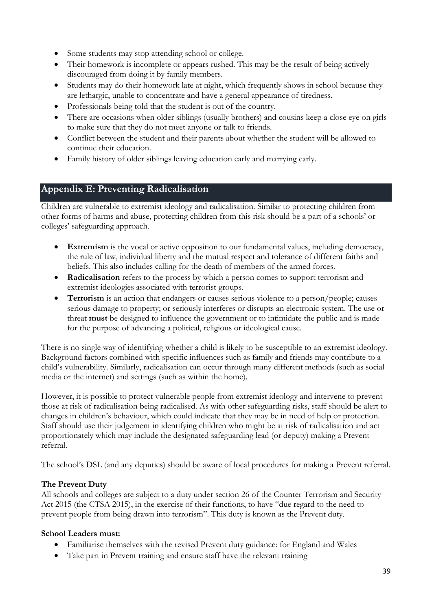- Some students may stop attending school or college.
- Their homework is incomplete or appears rushed. This may be the result of being actively discouraged from doing it by family members.
- Students may do their homework late at night, which frequently shows in school because they are lethargic, unable to concentrate and have a general appearance of tiredness.
- Professionals being told that the student is out of the country.
- There are occasions when older siblings (usually brothers) and cousins keep a close eye on girls to make sure that they do not meet anyone or talk to friends.
- Conflict between the student and their parents about whether the student will be allowed to continue their education.
- Family history of older siblings leaving education early and marrying early.

## **Appendix E: Preventing Radicalisation**

Children are vulnerable to extremist ideology and radicalisation. Similar to protecting children from other forms of harms and abuse, protecting children from this risk should be a part of a schools' or colleges' safeguarding approach.

- **Extremism** is the vocal or active opposition to our fundamental values, including democracy, the rule of law, individual liberty and the mutual respect and tolerance of different faiths and beliefs. This also includes calling for the death of members of the armed forces.
- **Radicalisation** refers to the process by which a person comes to support terrorism and extremist ideologies associated with terrorist groups.
- **• Terrorism** is an action that endangers or causes serious violence to a person/people; causes serious damage to property; or seriously interferes or disrupts an electronic system. The use or threat **must** be designed to influence the government or to intimidate the public and is made for the purpose of advancing a political, religious or ideological cause.

There is no single way of identifying whether a child is likely to be susceptible to an extremist ideology. Background factors combined with specific influences such as family and friends may contribute to a child's vulnerability. Similarly, radicalisation can occur through many different methods (such as social media or the internet) and settings (such as within the home).

However, it is possible to protect vulnerable people from extremist ideology and intervene to prevent those at risk of radicalisation being radicalised. As with other safeguarding risks, staff should be alert to changes in children's behaviour, which could indicate that they may be in need of help or protection. Staff should use their judgement in identifying children who might be at risk of radicalisation and act proportionately which may include the designated safeguarding lead (or deputy) making a Prevent referral.

The school's DSL (and any deputies) should be aware of local procedures for making a Prevent referral.

## **The Prevent Duty**

All schools and colleges are subject to a duty under section 26 of the Counter Terrorism and Security Act 2015 (the CTSA 2015), in the exercise of their functions, to have "due regard to the need to prevent people from being drawn into terrorism". This duty is known as the Prevent duty.

## **School Leaders must:**

- Familiarise themselves with the revised Prevent duty guidance: for England and Wales
- Take part in Prevent training and ensure staff have the relevant training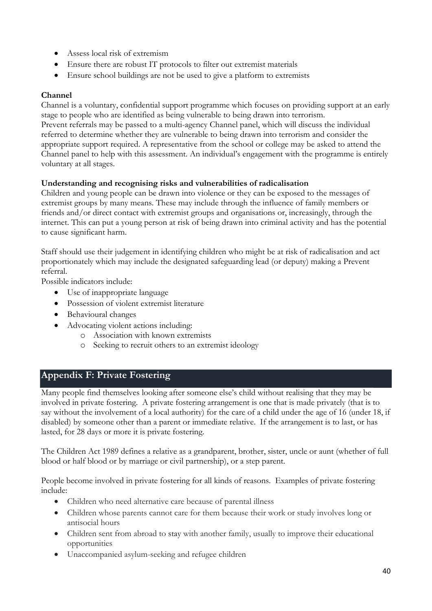- Assess local risk of extremism
- Ensure there are robust IT protocols to filter out extremist materials
- Ensure school buildings are not be used to give a platform to extremists

## **Channel**

Channel is a voluntary, confidential support programme which focuses on providing support at an early stage to people who are identified as being vulnerable to being drawn into terrorism. Prevent referrals may be passed to a multi-agency Channel panel, which will discuss the individual referred to determine whether they are vulnerable to being drawn into terrorism and consider the appropriate support required. A representative from the school or college may be asked to attend the Channel panel to help with this assessment. An individual's engagement with the programme is entirely voluntary at all stages.

## **Understanding and recognising risks and vulnerabilities of radicalisation**

Children and young people can be drawn into violence or they can be exposed to the messages of extremist groups by many means. These may include through the influence of family members or friends and/or direct contact with extremist groups and organisations or, increasingly, through the internet. This can put a young person at risk of being drawn into criminal activity and has the potential to cause [significant harm](http://trixresources.proceduresonline.com/nat_key/keywords/significant_harm.html).

Staff should use their judgement in identifying children who might be at risk of radicalisation and act proportionately which may include the designated safeguarding lead (or deputy) making a Prevent referral.

Possible indicators include:

- Use of inappropriate language
- Possession of violent extremist literature
- Behavioural changes
- Advocating violent actions including:
	- o Association with known extremists
	- o Seeking to recruit others to an extremist ideology

## **Appendix F: Private Fostering**

Many people find themselves looking after someone else's child without realising that they may be involved in private fostering. A private fostering arrangement is one that is made privately (that is to say without the involvement of a local authority) for the care of a child under the age of 16 (under 18, if disabled) by someone other than a parent or immediate relative. If the arrangement is to last, or has lasted, for 28 days or more it is private fostering.

The Children Act 1989 defines a relative as a grandparent, brother, sister, uncle or aunt (whether of full blood or half blood or by marriage or civil partnership), or a step parent.

People become involved in private fostering for all kinds of reasons. Examples of private fostering include:

- Children who need alternative care because of parental illness
- Children whose parents cannot care for them because their work or study involves long or antisocial hours
- Children sent from abroad to stay with another family, usually to improve their educational opportunities
- Unaccompanied asylum-seeking and refugee children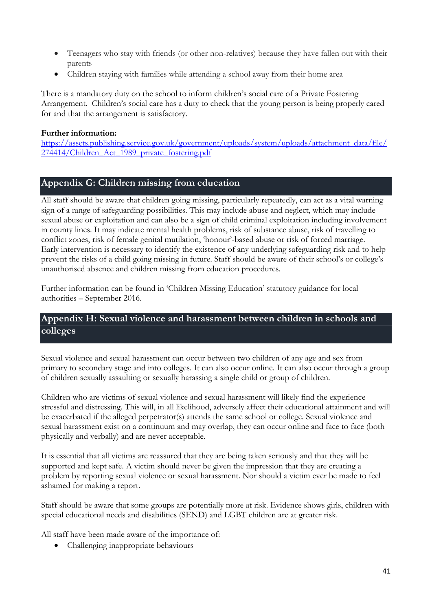- Teenagers who stay with friends (or other non-relatives) because they have fallen out with their parents
- Children staying with families while attending a school away from their home area

There is a mandatory duty on the school to inform children's social care of a Private Fostering Arrangement. Children's social care has a duty to check that the young person is being properly cared for and that the arrangement is satisfactory.

#### **Further information:**

[https://assets.publishing.service.gov.uk/government/uploads/system/uploads/attachment\\_data/file/](https://assets.publishing.service.gov.uk/government/uploads/system/uploads/attachment_data/file/274414/Children_Act_1989_private_fostering.pdf) [274414/Children\\_Act\\_1989\\_private\\_fostering.pdf](https://assets.publishing.service.gov.uk/government/uploads/system/uploads/attachment_data/file/274414/Children_Act_1989_private_fostering.pdf)

## **Appendix G: Children missing from education**

All staff should be aware that children going missing, particularly repeatedly, can act as a vital warning sign of a range of safeguarding possibilities. This may include abuse and neglect, which may include sexual abuse or exploitation and can also be a sign of child criminal exploitation including involvement in county lines. It may indicate mental health problems, risk of substance abuse, risk of travelling to conflict zones, risk of female genital mutilation, 'honour'-based abuse or risk of forced marriage. Early intervention is necessary to identify the existence of any underlying safeguarding risk and to help prevent the risks of a child going missing in future. Staff should be aware of their school's or college's unauthorised absence and children missing from education procedures.

Further information can be found in 'Children Missing Education' statutory guidance for local authorities – September 2016.

## **Appendix H: Sexual violence and harassment between children in schools and colleges**

Sexual violence and sexual harassment can occur between two children of any age and sex from primary to secondary stage and into colleges. It can also occur online. It can also occur through a group of children sexually assaulting or sexually harassing a single child or group of children.

Children who are victims of sexual violence and sexual harassment will likely find the experience stressful and distressing. This will, in all likelihood, adversely affect their educational attainment and will be exacerbated if the alleged perpetrator(s) attends the same school or college. Sexual violence and sexual harassment exist on a continuum and may overlap, they can occur online and face to face (both physically and verbally) and are never acceptable.

It is essential that all victims are reassured that they are being taken seriously and that they will be supported and kept safe. A victim should never be given the impression that they are creating a problem by reporting sexual violence or sexual harassment. Nor should a victim ever be made to feel ashamed for making a report.

Staff should be aware that some groups are potentially more at risk. Evidence shows girls, children with special educational needs and disabilities (SEND) and LGBT children are at greater risk.

All staff have been made aware of the importance of:

• Challenging inappropriate behaviours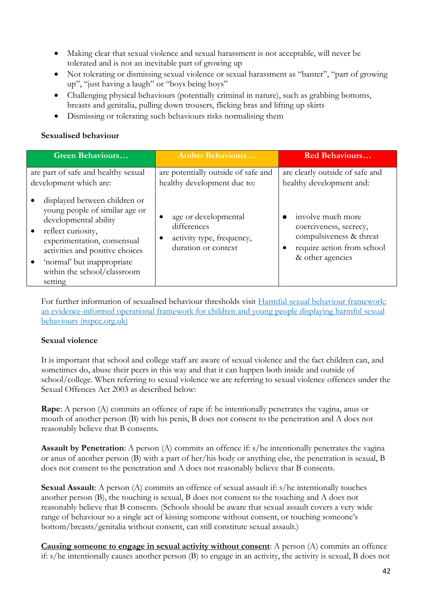- Making clear that sexual violence and sexual harassment is not acceptable, will never be tolerated and is not an inevitable part of growing up
- Not tolerating or dismissing sexual violence or sexual harassment as "banter", "part of growing up", "just having a laugh" or "boys being boys"
- Challenging physical behaviours (potentially criminal in nature), such as grabbing bottoms, breasts and genitalia, pulling down trousers, flicking bras and lifting up skirts
- Dismissing or tolerating such behaviours risks normalising them

#### **Sexualised behaviour**

| <b>Green Behaviours</b>                                                                                                                                                                                                                                  | <b>Amber Behaviours</b>                                                                 | <b>Red Behaviours</b>                                                                                                    |
|----------------------------------------------------------------------------------------------------------------------------------------------------------------------------------------------------------------------------------------------------------|-----------------------------------------------------------------------------------------|--------------------------------------------------------------------------------------------------------------------------|
| are part of safe and healthy sexual<br>development which are:                                                                                                                                                                                            | are potentially outside of safe and<br>healthy development due to:                      | are clearly outside of safe and<br>healthy development and:                                                              |
| displayed between children or<br>young people of similar age or<br>developmental ability<br>reflect curiosity,<br>experimentation, consensual<br>activities and positive choices<br>'normal' but inappropriate<br>within the school/classroom<br>setting | age or developmental<br>differences<br>activity type, frequency,<br>duration or context | involve much more<br>coerciveness, secrecy,<br>compulsiveness & threat<br>require action from school<br>& other agencies |

For further information of sexualised behaviour thresholds visit [Harmful sexual behaviour framework:](https://learning.nspcc.org.uk/media/1657/harmful-sexual-behaviour-framework.pdf) [an evidence-informed operational framework for children and young people displaying harmful sexual](https://learning.nspcc.org.uk/media/1657/harmful-sexual-behaviour-framework.pdf) [behaviours \(nspcc.org.uk\)](https://learning.nspcc.org.uk/media/1657/harmful-sexual-behaviour-framework.pdf)

#### **Sexual violence**

It is important that school and college staff are aware of sexual violence and the fact children can, and sometimes do, abuse their peers in this way and that it can happen both inside and outside of school/college. When referring to sexual violence we are referring to sexual violence offences under the Sexual Offences Act 2003 as described below:

**Rape**: A person (A) commits an offence of rape if: he intentionally penetrates the vagina, anus or mouth of another person (B) with his penis, B does not consent to the penetration and A does not reasonably believe that B consents.

**Assault by Penetration**: A person (A) commits an offence if: s/he intentionally penetrates the vagina or anus of another person (B) with a part of her/his body or anything else, the penetration is sexual, B does not consent to the penetration and A does not reasonably believe that B consents.

**Sexual Assault:** A person (A) commits an offence of sexual assault if: s/he intentionally touches another person (B), the touching is sexual, B does not consent to the touching and A does not reasonably believe that B consents. (Schools should be aware that sexual assault covers a very wide range of behaviour so a single act of kissing someone without consent, or touching someone's bottom/breasts/genitalia without consent, can still constitute sexual assault.)

**Causing someone to engage in sexual activity without consent**: A person (A) commits an offence if: s/he intentionally causes another person (B) to engage in an activity, the activity is sexual, B does not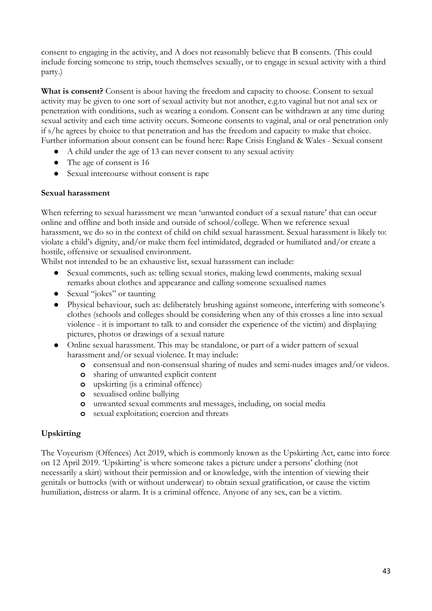consent to engaging in the activity, and A does not reasonably believe that B consents. (This could include forcing someone to strip, touch themselves sexually, or to engage in sexual activity with a third party.)

What is consent? Consent is about having the freedom and capacity to choose. Consent to sexual activity may be given to one sort of sexual activity but not another, e.g.to vaginal but not anal sex or penetration with conditions, such as wearing a condom. Consent can be withdrawn at any time during sexual activity and each time activity occurs. Someone consents to vaginal, anal or oral penetration only if s/he agrees by choice to that penetration and has the freedom and capacity to make that choice. Further information about consent can be found here: Rape Crisis England & Wales - Sexual consent

- A child under the age of 13 can never consent to any sexual activity
- The age of consent is 16
- Sexual intercourse without consent is rape

#### **Sexual harassment**

When referring to sexual harassment we mean 'unwanted conduct of a sexual nature' that can occur online and offline and both inside and outside of school/college. When we reference sexual harassment, we do so in the context of child on child sexual harassment. Sexual harassment is likely to: violate a child's dignity, and/or make them feel intimidated, degraded or humiliated and/or create a hostile, offensive or sexualised environment.

Whilst not intended to be an exhaustive list, sexual harassment can include:

- Sexual comments, such as: telling sexual stories, making lewd comments, making sexual remarks about clothes and appearance and calling someone sexualised names
- Sexual "jokes" or taunting
- Physical behaviour, such as: deliberately brushing against someone, interfering with someone's clothes (schools and colleges should be considering when any of this crosses a line into sexual violence - it is important to talk to and consider the experience of the victim) and displaying pictures, photos or drawings of a sexual nature
- Online sexual harassment. This may be standalone, or part of a wider pattern of sexual harassment and/or sexual violence. It may include:
	- **o** consensual and non-consensual sharing of nudes and semi-nudes images and/or videos.
	- **o** sharing of unwanted explicit content
	- **o** upskirting (is a criminal offence)
	- **o** sexualised online bullying
	- **o** unwanted sexual comments and messages, including, on social media
	- **o** sexual exploitation; coercion and threats

## **Upskirting**

The Voyeurism (Offences) Act 2019, which is commonly known as the Upskirting Act, came into force on 12 April 2019. 'Upskirting' is where someone takes a picture under a persons' clothing (not necessarily a skirt) without their permission and or knowledge, with the intention of viewing their genitals or buttocks (with or without underwear) to obtain sexual gratification, or cause the victim humiliation, distress or alarm. It is a criminal offence. Anyone of any sex, can be a victim.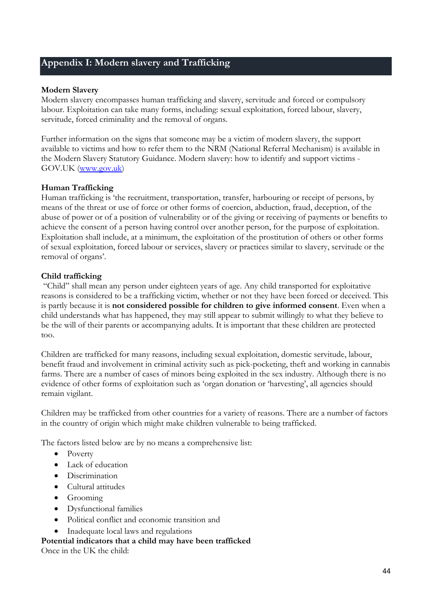## **Appendix I: Modern slavery and Trafficking**

#### **Modern Slavery**

Modern slavery encompasses human trafficking and slavery, servitude and forced or compulsory labour. Exploitation can take many forms, including: sexual exploitation, forced labour, slavery, servitude, forced criminality and the removal of organs.

Further information on the signs that someone may be a victim of modern slavery, the support available to victims and how to refer them to the NRM (National Referral Mechanism) is available in the Modern Slavery Statutory Guidance. Modern slavery: how to identify and support victims - GOV.UK([www.gov.uk\)](http://www.gov.uk)

#### **Human Trafficking**

Human trafficking is 'the recruitment, transportation, transfer, harbouring or receipt of persons, by means of the threat or use of force or other forms of coercion, abduction, fraud, deception, of the abuse of power or of a position of vulnerability or of the giving or receiving of payments or benefits to achieve the consent of a person having control over another person, for the purpose of exploitation. Exploitation shall include, at a minimum, the exploitation of the prostitution of others or other forms of sexual exploitation, forced labour or services, slavery or practices similar to slavery, servitude or the removal of organs'.

#### **Child trafficking**

"Child" shall mean any person under eighteen years of age. Any child transported for exploitative reasons is considered to be a trafficking victim, whether or not they have been forced or deceived. This is partly because it is **not considered possible for children to give informed consent**. Even when a child understands what has happened, they may still appear to submit willingly to what they believe to be the will of their parents or accompanying adults. It is important that these children are protected too.

Children are trafficked for many reasons, including sexual exploitation, domestic servitude, labour, benefit fraud and involvement in criminal activity such as pick-pocketing, theft and working in cannabis farms. There are a number of cases of minors being exploited in the sex industry. Although there is no evidence of other forms of exploitation such as 'organ donation or 'harvesting', all agencies should remain vigilant.

Children may be trafficked from other countries for a variety of reasons. There are a number of factors in the country of origin which might make children vulnerable to being trafficked.

The factors listed below are by no means a comprehensive list:

- Poverty
- Lack of education
- Discrimination
- Cultural attitudes
- Grooming
- Dysfunctional families
- Political conflict and economic transition and
- Inadequate local laws and regulations

#### **Potential indicators that a child may have been trafficked**

Once in the UK the child: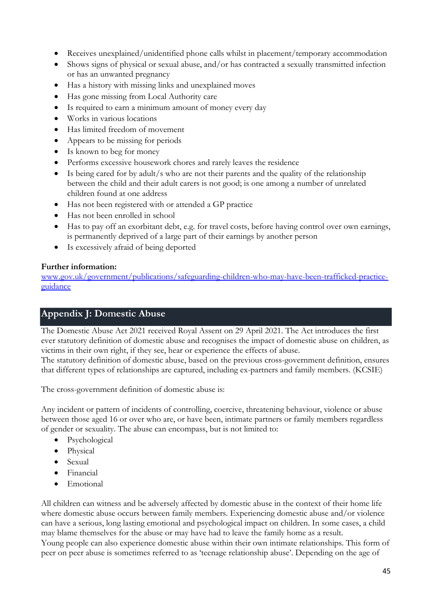- Receives unexplained/unidentified phone calls whilst in placement/temporary accommodation
- Shows signs of physical or sexual abuse, and/or has contracted a sexually transmitted infection or has an unwanted pregnancy
- Has a history with missing links and unexplained moves
- Has gone missing from Local Authority care
- Is required to earn a minimum amount of money every day
- Works in various locations
- Has limited freedom of movement
- Appears to be missing for periods
- Is known to beg for money
- Performs excessive housework chores and rarely leaves the residence
- Is being cared for by adult/s who are not their parents and the quality of the relationship between the child and their adult carers is not good; is one among a number of unrelated children found at one address
- Has not been registered with or attended a GP practice
- Has not been enrolled in school
- Has to pay off an exorbitant debt, e.g. for travel costs, before having control over own earnings, is permanently deprived of a large part of their earnings by another person
- Is excessively afraid of being deported

## **Further information:**

[www.gov.uk/government/publications/safeguarding-children-who-may-have-been-trafficked-practice](http://www.gov.uk/government/publications/safeguarding-children-who-may-have-been-trafficked-practice-guidance)[guidance](http://www.gov.uk/government/publications/safeguarding-children-who-may-have-been-trafficked-practice-guidance)

## **Appendix J: Domestic Abuse**

The Domestic Abuse Act 2021 received Royal Assent on 29 April 2021. The Act introduces the first ever statutory definition of domestic abuse and recognises the impact of domestic abuse on children, as victims in their own right, if they see, hear or experience the effects of abuse.

The statutory definition of domestic abuse, based on the previous cross-government definition, ensures that different types of relationships are captured, including ex-partners and family members. (KCSIE)

The cross-government definition of domestic abuse is:

Any incident or pattern of incidents of controlling, coercive, threatening behaviour, violence or abuse between those aged 16 or over who are, or have been, intimate partners or family members regardless of gender or sexuality. The abuse can encompass, but is not limited to:

- Psychological
- Physical
- Sexual
- Financial
- Emotional

All children can witness and be adversely affected by domestic abuse in the context of their home life where domestic abuse occurs between family members. Experiencing domestic abuse and/or violence can have a serious, long lasting emotional and psychological impact on children. In some cases, a child may blame themselves for the abuse or may have had to leave the family home as a result. Young people can also experience domestic abuse within their own intimate relationships. This form of peer on peer abuse is sometimes referred to as 'teenage relationship abuse'. Depending on the age of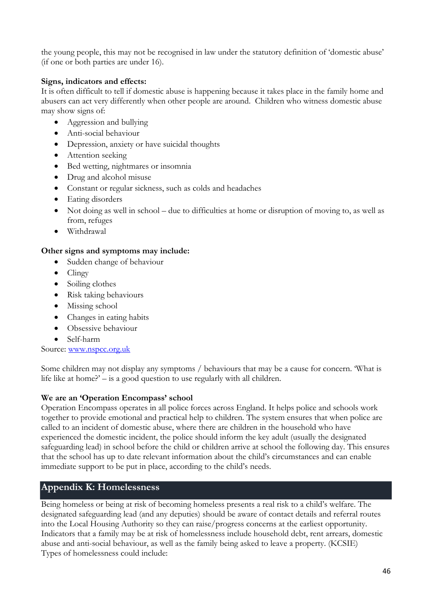the young people, this may not be recognised in law under the statutory definition of 'domestic abuse' (if one or both parties are under 16).

#### **Signs, indicators and effects:**

It is often difficult to tell if domestic abuse is happening because it takes place in the family home and abusers can act very differently when other people are around. Children who witness domestic abuse may show signs of:

- Aggression and bullying
- Anti-social behaviour
- Depression, anxiety or have suicidal thoughts
- Attention seeking
- Bed wetting, nightmares or insomnia
- Drug and alcohol misuse
- Constant or regular sickness, such as colds and headaches
- Eating disorders
- Not doing as well in school due to difficulties at home or disruption of moving to, as well as from, refuges
- Withdrawal

#### **Other signs and symptoms may include:**

- Sudden change of behaviour
- $\bullet$  Clingy
- Soiling clothes
- Risk taking behaviours
- Missing school
- Changes in eating habits
- Obsessive behaviour
- Self-harm

Source: [www.nspcc.org.uk](http://www.nspcc.org.uk)

Some children may not display any symptoms / behaviours that may be a cause for concern. 'What is life like at home?' – is a good question to use regularly with all children.

#### **We are an 'Operation Encompass' school**

Operation Encompass operates in all police forces across England. It helps police and schools work together to provide emotional and practical help to children. The system ensures that when police are called to an incident of domestic abuse, where there are children in the household who have experienced the domestic incident, the police should inform the key adult (usually the designated safeguarding lead) in school before the child or children arrive at school the following day. This ensures that the school has up to date relevant information about the child's circumstances and can enable immediate support to be put in place, according to the child's needs.

## **Appendix K: Homelessness**

Being homeless or being at risk of becoming homeless presents a real risk to a child's welfare. The designated safeguarding lead (and any deputies) should be aware of contact details and referral routes into the Local Housing Authority so they can raise/progress concerns at the earliest opportunity. Indicators that a family may be at risk of homelessness include household debt, rent arrears, domestic abuse and anti-social behaviour, as well as the family being asked to leave a property. (KCSIE) Types of homelessness could include: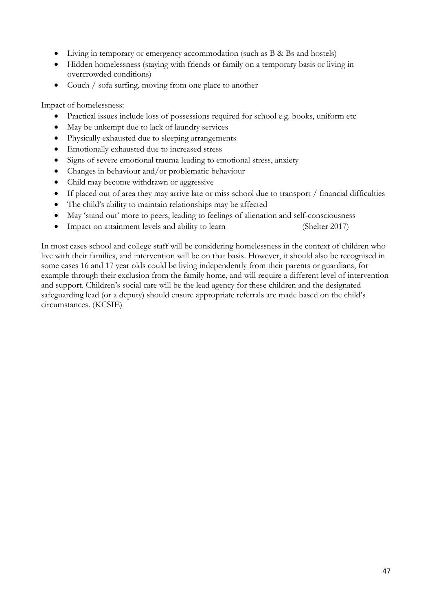- Living in temporary or emergency accommodation (such as B & Bs and hostels)
- Hidden homelessness (staying with friends or family on a temporary basis or living in overcrowded conditions)
- Couch / sofa surfing, moving from one place to another

Impact of homelessness:

- Practical issues include loss of possessions required for school e.g. books, uniform etc
- May be unkempt due to lack of laundry services
- Physically exhausted due to sleeping arrangements
- Emotionally exhausted due to increased stress
- Signs of severe emotional trauma leading to emotional stress, anxiety
- Changes in behaviour and/or problematic behaviour
- Child may become withdrawn or aggressive
- If placed out of area they may arrive late or miss school due to transport / financial difficulties
- The child's ability to maintain relationships may be affected
- May 'stand out' more to peers, leading to feelings of alienation and self-consciousness
- Impact on attainment levels and ability to learn (Shelter 2017)

In most cases school and college staff will be considering homelessness in the context of children who live with their families, and intervention will be on that basis. However, it should also be recognised in some cases 16 and 17 year olds could be living independently from their parents or guardians, for example through their exclusion from the family home, and will require a different level of intervention and support. Children's social care will be the lead agency for these children and the designated safeguarding lead (or a deputy) should ensure appropriate referrals are made based on the child's circumstances. (KCSIE)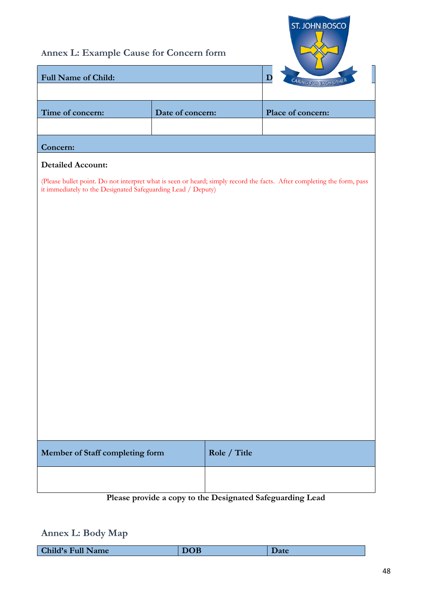| <b>Full Name of Child:</b><br>D<br>CARING FOR EACH OTHER<br>Time of concern:<br>Date of concern:<br>Place of concern:<br>Concern:<br><b>Detailed Account:</b><br>(Please bullet point. Do not interpret what is seen or heard; simply record the facts. After completing the form, pass<br>it immediately to the Designated Safeguarding Lead / Deputy)<br>Role / Title<br>Member of Staff completing form | Annex L: Example Cause for Concern form |  | <b>ST. JOHN BOSCO</b> |  |
|------------------------------------------------------------------------------------------------------------------------------------------------------------------------------------------------------------------------------------------------------------------------------------------------------------------------------------------------------------------------------------------------------------|-----------------------------------------|--|-----------------------|--|
|                                                                                                                                                                                                                                                                                                                                                                                                            |                                         |  |                       |  |
|                                                                                                                                                                                                                                                                                                                                                                                                            |                                         |  |                       |  |
|                                                                                                                                                                                                                                                                                                                                                                                                            |                                         |  |                       |  |
|                                                                                                                                                                                                                                                                                                                                                                                                            |                                         |  |                       |  |
|                                                                                                                                                                                                                                                                                                                                                                                                            |                                         |  |                       |  |
|                                                                                                                                                                                                                                                                                                                                                                                                            |                                         |  |                       |  |
|                                                                                                                                                                                                                                                                                                                                                                                                            |                                         |  |                       |  |
|                                                                                                                                                                                                                                                                                                                                                                                                            |                                         |  |                       |  |
|                                                                                                                                                                                                                                                                                                                                                                                                            |                                         |  |                       |  |
|                                                                                                                                                                                                                                                                                                                                                                                                            |                                         |  |                       |  |
|                                                                                                                                                                                                                                                                                                                                                                                                            |                                         |  |                       |  |
|                                                                                                                                                                                                                                                                                                                                                                                                            |                                         |  |                       |  |
|                                                                                                                                                                                                                                                                                                                                                                                                            |                                         |  |                       |  |
|                                                                                                                                                                                                                                                                                                                                                                                                            |                                         |  |                       |  |
|                                                                                                                                                                                                                                                                                                                                                                                                            |                                         |  |                       |  |
|                                                                                                                                                                                                                                                                                                                                                                                                            |                                         |  |                       |  |
|                                                                                                                                                                                                                                                                                                                                                                                                            |                                         |  |                       |  |

# **Please provide a copy to the Designated Safeguarding Lead**

# **Annex L: Body Map**

| <b>Child's Full Name</b> | <b>DOB</b> | Date |
|--------------------------|------------|------|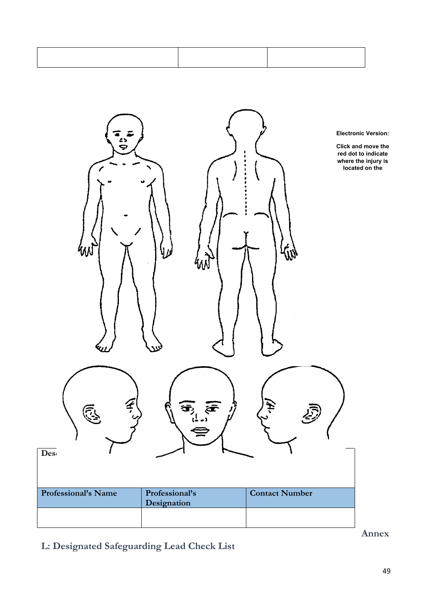| $\mathbf{\hat{P}}$<br>W                          | $\Psi$                        | I<br>4vy                                 | $\bullet$<br>٠<br>f   | Ŵу | <b>Electronic Version:</b><br>Click and move the<br>red dot to indicate<br>where the injury is<br>located on the |
|--------------------------------------------------|-------------------------------|------------------------------------------|-----------------------|----|------------------------------------------------------------------------------------------------------------------|
| $\hat{\mathcal{F}}$<br>$\overline{\mathbf{Des}}$ |                               | $\hat{J}$<br>$\widehat{\mathbf{t}}$<br>Ë |                       |    |                                                                                                                  |
| Professional's Name                              | Professional's<br>Designation |                                          | <b>Contact Number</b> |    |                                                                                                                  |
|                                                  |                               |                                          |                       |    |                                                                                                                  |

**Annex**

**L: Designated Safeguarding Lead Check List**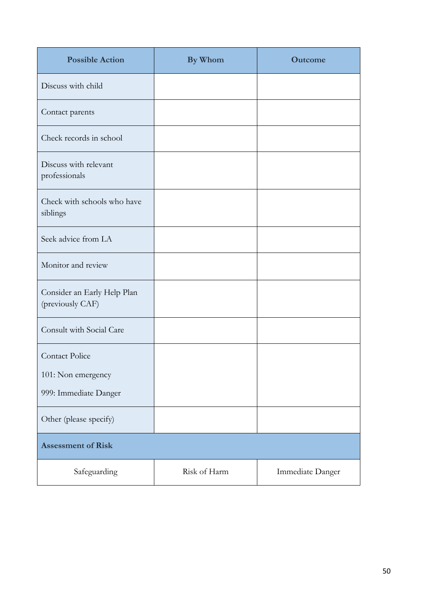| <b>Possible Action</b>                                               | By Whom      | <b>Outcome</b>   |  |  |  |
|----------------------------------------------------------------------|--------------|------------------|--|--|--|
| Discuss with child                                                   |              |                  |  |  |  |
| Contact parents                                                      |              |                  |  |  |  |
| Check records in school                                              |              |                  |  |  |  |
| Discuss with relevant<br>professionals                               |              |                  |  |  |  |
| Check with schools who have<br>siblings                              |              |                  |  |  |  |
| Seek advice from LA                                                  |              |                  |  |  |  |
| Monitor and review                                                   |              |                  |  |  |  |
| Consider an Early Help Plan<br>(previously CAF)                      |              |                  |  |  |  |
| Consult with Social Care                                             |              |                  |  |  |  |
| <b>Contact Police</b><br>101: Non emergency<br>999: Immediate Danger |              |                  |  |  |  |
| Other (please specify)                                               |              |                  |  |  |  |
| <b>Assessment of Risk</b>                                            |              |                  |  |  |  |
| Safeguarding                                                         | Risk of Harm | Immediate Danger |  |  |  |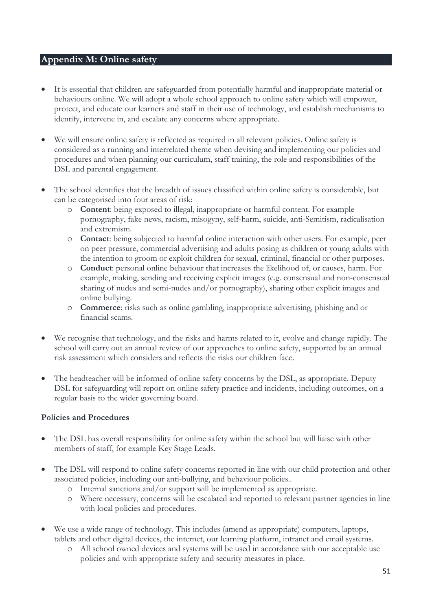## **Appendix M: Online safety**

- It is essential that children are safeguarded from potentially harmful and inappropriate material or behaviours online. We will adopt a whole school approach to online safety which will empower, protect, and educate our learners and staff in their use of technology, and establish mechanisms to identify, intervene in, and escalate any concerns where appropriate.
- We will ensure online safety is reflected as required in all relevant policies. Online safety is considered as a running and interrelated theme when devising and implementing our policies and procedures and when planning our curriculum, staff training, the role and responsibilities of the DSL and parental engagement.
- The school identifies that the breadth of issues classified within online safety is considerable, but can be categorised into four areas of risk:
	- o **Content**: being exposed to illegal, inappropriate or harmful content. For example pornography, fake news, racism, misogyny, self-harm, suicide, anti-Semitism, radicalisation and extremism.
	- o **Contact**: being subjected to harmful online interaction with other users. For example, peer on peer pressure, commercial advertising and adults posing as children or young adults with the intention to groom or exploit children for sexual, criminal, financial or other purposes.
	- o **Conduct**: personal online behaviour that increases the likelihood of, or causes, harm. For example, making, sending and receiving explicit images (e.g. consensual and non-consensual sharing of nudes and semi-nudes and/or pornography), sharing other explicit images and online bullying.
	- o **Commerce**: risks such as online gambling, inappropriate advertising, phishing and or financial scams.
- We recognise that technology, and the risks and harms related to it, evolve and change rapidly. The school will carry out an annual review of our approaches to online safety, supported by an annual risk assessment which considers and reflects the risks our children face.
- The headteacher will be informed of online safety concerns by the DSL, as appropriate. Deputy DSL for safeguarding will report on online safety practice and incidents, including outcomes, on a regular basis to the wider governing board.

## **Policies and Procedures**

- The DSL has overall responsibility for online safety within the school but will liaise with other members of staff, for example Key Stage Leads.
- The DSL will respond to online safety concerns reported in line with our child protection and other associated policies, including our anti-bullying, and behaviour policies..
	- o Internal sanctions and/or support will be implemented as appropriate.
	- o Where necessary, concerns will be escalated and reported to relevant partner agencies in line with local policies and procedures.
- We use a wide range of technology. This includes (amend as appropriate) computers, laptops, tablets and other digital devices, the internet, our learning platform, intranet and email systems.
	- o All school owned devices and systems will be used in accordance with our acceptable use policies and with appropriate safety and security measures in place.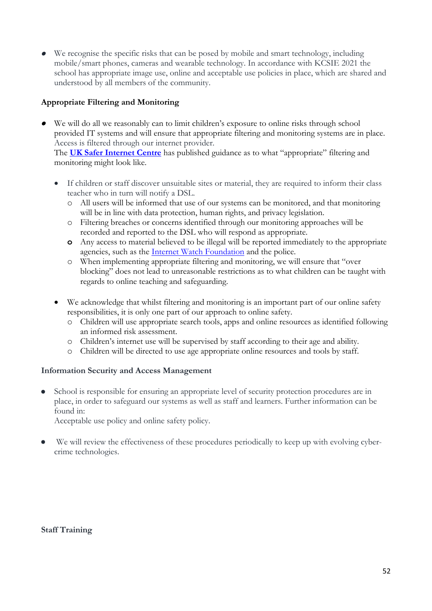$\bullet$  We recognise the specific risks that can be posed by mobile and smart technology, including mobile/smart phones, cameras and wearable technology. In accordance with KCSIE 2021 the school has appropriate image use, online and acceptable use policies in place, which are shared and understood by all members of the community.

## **Appropriate Filtering and Monitoring**

 We will do all we reasonably can to limit children's exposure to online risks through school provided IT systems and will ensure that appropriate filtering and monitoring systems are in place. Access is filtered through our internet provider. The **[UK Safer Internet Centre](http://www.saferinternet.org.uk/appropriate-filtering-and-monitoring)** has published guidance as to what "appropriate" filtering and

monitoring might look like.

- If children or staff discover unsuitable sites or material, they are required to inform their class teacher who in turn will notify a DSL.
	- o All users will be informed that use of our systems can be monitored, and that monitoring will be in line with data protection, human rights, and privacy legislation.
	- o Filtering breaches or concerns identified through our monitoring approaches will be recorded and reported to the DSL who will respond as appropriate.
	- **o** Any access to material believed to be illegal will be reported immediately to the appropriate agencies, such as the [Internet Watch Foundation](https://www.iwf.org.uk/) and the police.
	- o When implementing appropriate filtering and monitoring, we will ensure that "over blocking" does not lead to unreasonable restrictions as to what children can be taught with regards to online teaching and safeguarding.
- We acknowledge that whilst filtering and monitoring is an important part of our online safety responsibilities, it is only one part of our approach to online safety.
	- o Children will use appropriate search tools, apps and online resources as identified following an informed risk assessment.
	- o Children's internet use will be supervised by staff according to their age and ability.
	- o Children will be directed to use age appropriate online resources and tools by staff.

## **Information Security and Access Management**

• School is responsible for ensuring an appropriate level of security protection procedures are in place, in order to safeguard our systems as well as staff and learners. Further information can be found in:

Acceptable use policy and online safety policy.

We will review the effectiveness of these procedures periodically to keep up with evolving cybercrime technologies.

## **Staff Training**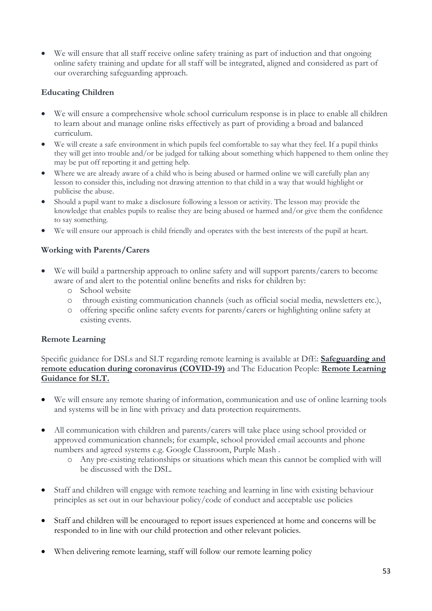We will ensure that all staff receive online safety training as part of induction and that ongoing online safety training and update for all staff will be integrated, aligned and considered as part of our overarching safeguarding approach.

## **Educating Children**

- We will ensure a comprehensive whole school curriculum response is in place to enable all children to learn about and manage online risks effectively as part of providing a broad and balanced curriculum.
- We will create a safe environment in which pupils feel comfortable to say what they feel. If a pupil thinks they will get into trouble and/or be judged for talking about something which happened to them online they may be put off reporting it and getting help.
- Where we are already aware of a child who is being abused or harmed online we will carefully plan any lesson to consider this, including not drawing attention to that child in a way that would highlight or publicise the abuse.
- Should a pupil want to make a disclosure following a lesson or activity. The lesson may provide the knowledge that enables pupils to realise they are being abused or harmed and/or give them the confidence to say something.
- We will ensure our approach is child friendly and operates with the best interests of the pupil at heart.

## **Working with Parents/Carers**

- We will build a partnership approach to online safety and will support parents/carers to become aware of and alert to the potential online benefits and risks for children by:
	- o School website
	- o through existing communication channels (such as official social media, newsletters etc.),
	- o offering specific online safety events for parents/carers or highlighting online safety at existing events.

## **Remote Learning**

Specific guidance for DSLs and SLT regarding remote learning is available at DfE: **[Safeguarding and](https://www.gov.uk/guidance/safeguarding-and-remote-education-during-coronavirus-covid-19) [remote education during coronavirus \(COVID-19\)](https://www.gov.uk/guidance/safeguarding-and-remote-education-during-coronavirus-covid-19)** and The Education People: **[Remote Learning](https://www.theeducationpeople.org/blog/safer-remote-learning-during-covid-19-information-for-school-leaders-and-dsls/) [Guidance for SLT.](https://www.theeducationpeople.org/blog/safer-remote-learning-during-covid-19-information-for-school-leaders-and-dsls/)**

- We will ensure any remote sharing of information, communication and use of online learning tools and systems will be in line with privacy and data protection requirements.
- All communication with children and parents/carers will take place using school provided or approved communication channels; for example, school provided email accounts and phone numbers and agreed systems e.g. Google Classroom, Purple Mash .
	- o Any pre-existing relationships or situations which mean this cannot be complied with will be discussed with the DSL.
- Staff and children will engage with remote teaching and learning in line with existing behaviour principles as set out in our behaviour policy/code of conduct and acceptable use policies
- Staff and children will be encouraged to report issues experienced at home and concerns will be responded to in line with our child protection and other relevant policies.
- When delivering remote learning, staff will follow our remote learning policy